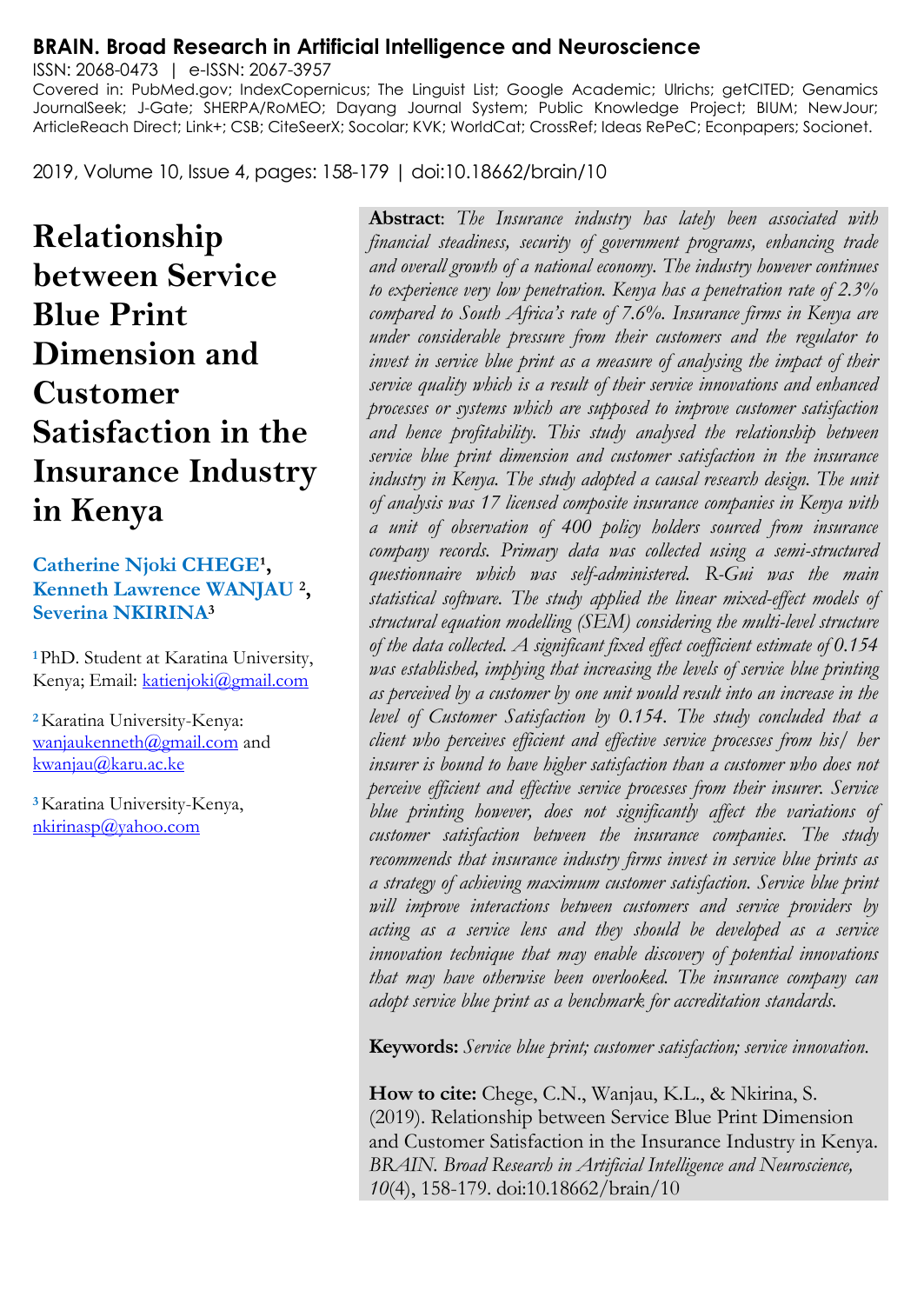#### **BRAIN. Broad Research in Artificial Intelligence and Neuroscience**

ISSN: 2068-0473 | e-ISSN: 2067-3957 Covered in: PubMed.gov; IndexCopernicus; The Linguist List; Google Academic; Ulrichs; getCITED; Genamics JournalSeek; J-Gate; SHERPA/RoMEO; Dayang Journal System; Public Knowledge Project; BIUM; NewJour; ArticleReach Direct; Link+; CSB; CiteSeerX; Socolar; KVK; WorldCat; CrossRef; Ideas RePeC; Econpapers; Socionet.

2019, Volume 10, Issue 4, pages: 158-179 | doi:10.18662/brain/10

**Relationship between Service Blue Print Dimension and Customer Satisfaction in the Insurance Industry in Kenya**

**Catherine Njoki CHEGE<sup>1</sup>, Kenneth Lawrence WANJAU <sup>2</sup> , Severina NKIRINA<sup>3</sup>**

**<sup>1</sup>**PhD. Student at Karatina University, Kenya; Email: [katienjoki@gmail.com](mailto:katienjoki@gmail.com)

**<sup>2</sup>**Karatina University-Kenya: [wanjaukenneth@gmail.com](mailto:wanjaukenneth@gmail.com) and [kwanjau@karu.ac.ke](mailto:kwanjau@karu.ac.ke)

**<sup>3</sup>**Karatina University-Kenya, [nkirinasp@yahoo.com](mailto:nkirinasp@yahoo.com)

**Abstract**: *The Insurance industry has lately been associated with financial steadiness, security of government programs, enhancing trade and overall growth of a national economy. The industry however continues to experience very low penetration. Kenya has a penetration rate of 2.3% compared to South Africa's rate of 7.6%. Insurance firms in Kenya are under considerable pressure from their customers and the regulator to invest in service blue print as a measure of analysing the impact of their service quality which is a result of their service innovations and enhanced processes or systems which are supposed to improve customer satisfaction and hence profitability. This study analysed the relationship between service blue print dimension and customer satisfaction in the insurance*  industry in Kenya. The study adopted a causal research design. The unit *of analysis was 17 licensed composite insurance companies in Kenya with a unit of observation of 400 policy holders sourced from insurance company records. Primary data was collected using a semi-structured questionnaire which was self-administered. R-Gui was the main statistical software. The study applied the linear mixed-effect models of structural equation modelling (SEM) considering the multi-level structure of the data collected. A significant fixed effect coefficient estimate of 0.154 was established, implying that increasing the levels of service blue printing as perceived by a customer by one unit would result into an increase in the level of Customer Satisfaction by 0.154. The study concluded that a client who perceives efficient and effective service processes from his/ her insurer is bound to have higher satisfaction than a customer who does not perceive efficient and effective service processes from their insurer. Service blue printing however, does not significantly affect the variations of customer satisfaction between the insurance companies. The study recommends that insurance industry firms invest in service blue prints as a strategy of achieving maximum customer satisfaction. Service blue print will improve interactions between customers and service providers by acting as a service lens and they should be developed as a service innovation technique that may enable discovery of potential innovations that may have otherwise been overlooked. The insurance company can adopt service blue print as a benchmark for accreditation standards.*

**Keywords:** *Service blue print; customer satisfaction; service innovation.*

**How to cite:** Chege, C.N., Wanjau, K.L., & Nkirina, S. (2019). Relationship between Service Blue Print Dimension and Customer Satisfaction in the Insurance Industry in Kenya. *BRAIN. Broad Research in Artificial Intelligence and Neuroscience, 10*(4), 158-179. doi:10.18662/brain/10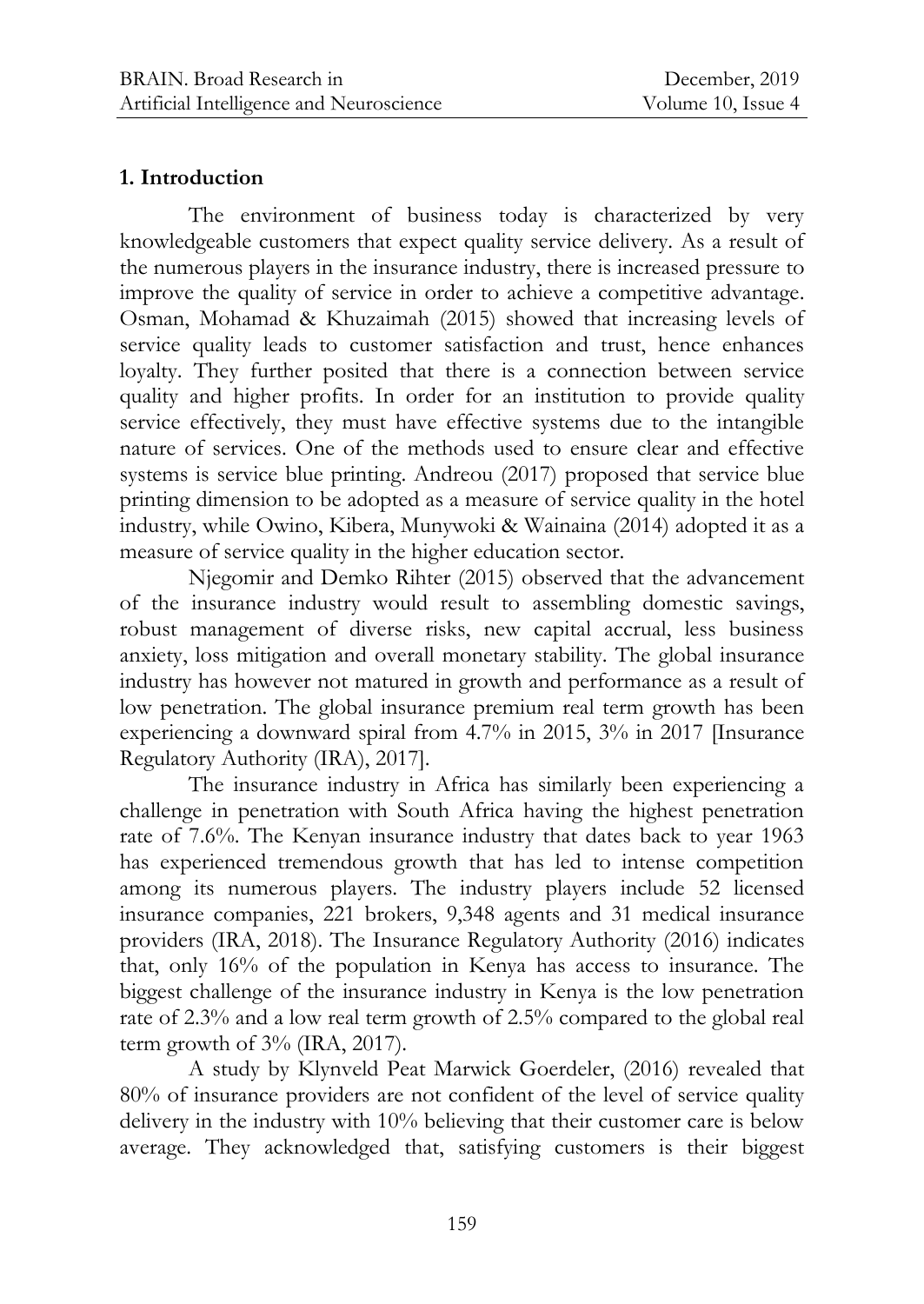### **1. Introduction**

The environment of business today is characterized by very knowledgeable customers that expect quality service delivery. As a result of the numerous players in the insurance industry, there is increased pressure to improve the quality of service in order to achieve a competitive advantage. Osman, Mohamad & Khuzaimah (2015) showed that increasing levels of service quality leads to customer satisfaction and trust, hence enhances loyalty. They further posited that there is a connection between service quality and higher profits. In order for an institution to provide quality service effectively, they must have effective systems due to the intangible nature of services. One of the methods used to ensure clear and effective systems is service blue printing. Andreou (2017) proposed that service blue printing dimension to be adopted as a measure of service quality in the hotel industry, while Owino, Kibera, Munywoki & Wainaina (2014) adopted it as a measure of service quality in the higher education sector.

Njegomir and Demko Rihter (2015) observed that the advancement of the insurance industry would result to assembling domestic savings, robust management of diverse risks, new capital accrual, less business anxiety, loss mitigation and overall monetary stability. The global insurance industry has however not matured in growth and performance as a result of low penetration. The global insurance premium real term growth has been experiencing a downward spiral from 4.7% in 2015, 3% in 2017 [Insurance Regulatory Authority (IRA), 2017].

The insurance industry in Africa has similarly been experiencing a challenge in penetration with South Africa having the highest penetration rate of 7.6%. The Kenyan insurance industry that dates back to year 1963 has experienced tremendous growth that has led to intense competition among its numerous players. The industry players include 52 licensed insurance companies, 221 brokers, 9,348 agents and 31 medical insurance providers (IRA, 2018). The Insurance Regulatory Authority (2016) indicates that, only 16% of the population in Kenya has access to insurance. The biggest challenge of the insurance industry in Kenya is the low penetration rate of 2.3% and a low real term growth of 2.5% compared to the global real term growth of  $3\%$  (IRA, 2017).

A study by Klynveld Peat Marwick Goerdeler, (2016) revealed that 80% of insurance providers are not confident of the level of service quality delivery in the industry with 10% believing that their customer care is below average. They acknowledged that, satisfying customers is their biggest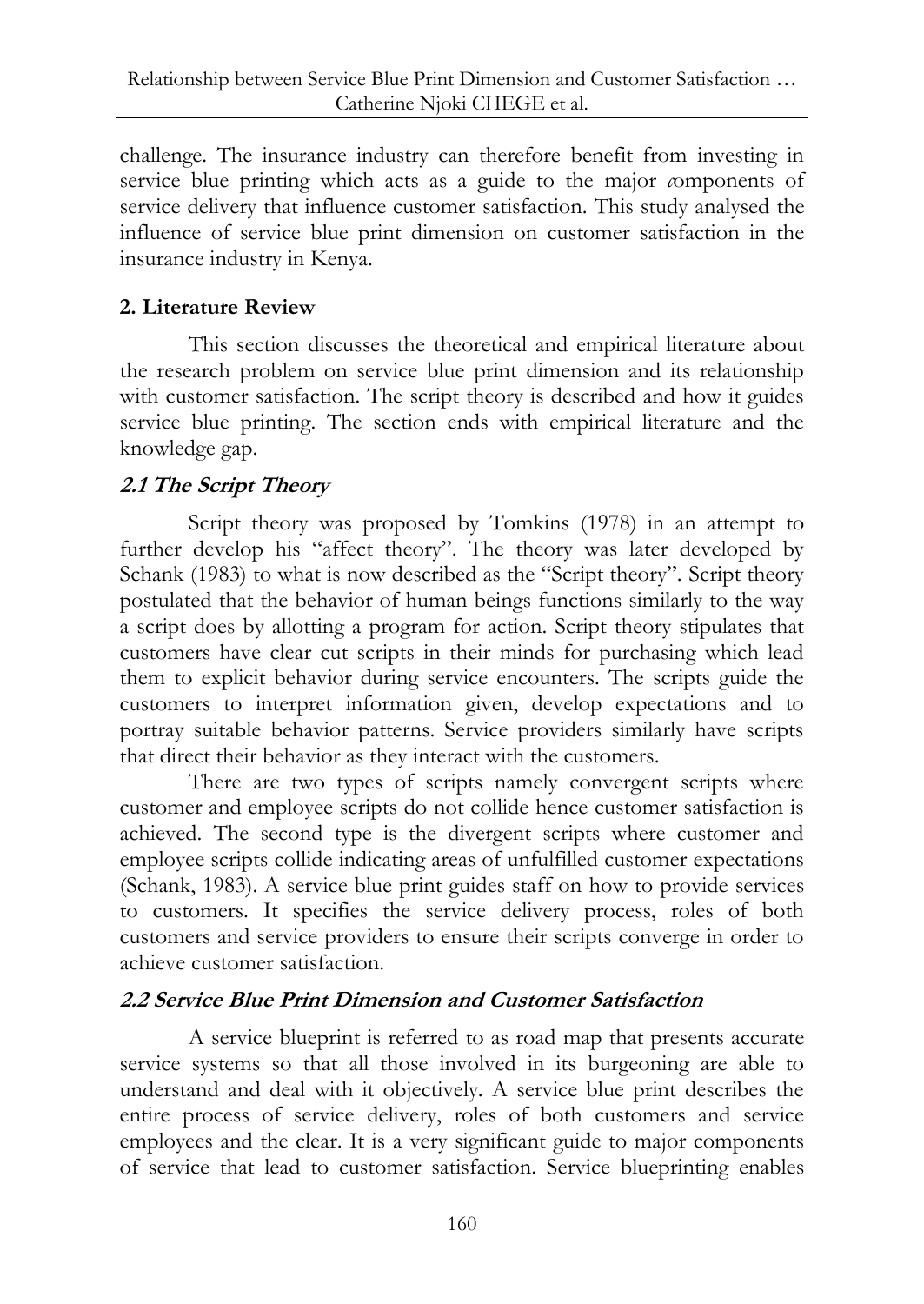challenge. The insurance industry can therefore benefit from investing in service blue printing which acts as a guide to the major *c*omponents of service delivery that influence customer satisfaction. This study analysed the influence of service blue print dimension on customer satisfaction in the insurance industry in Kenya.

# **2. Literature Review**

This section discusses the theoretical and empirical literature about the research problem on service blue print dimension and its relationship with customer satisfaction. The script theory is described and how it guides service blue printing. The section ends with empirical literature and the knowledge gap.

# **2.1 The Script Theory**

Script theory was proposed by Tomkins (1978) in an attempt to further develop his "affect theory". The theory was later developed by Schank (1983) to what is now described as the "Script theory". Script theory postulated that the behavior of human beings functions similarly to the way a script does by allotting a program for action. Script theory stipulates that customers have clear cut scripts in their minds for purchasing which lead them to explicit behavior during service encounters. The scripts guide the customers to interpret information given, develop expectations and to portray suitable behavior patterns. Service providers similarly have scripts that direct their behavior as they interact with the customers.

There are two types of scripts namely convergent scripts where customer and employee scripts do not collide hence customer satisfaction is achieved. The second type is the divergent scripts where customer and employee scripts collide indicating areas of unfulfilled customer expectations (Schank, 1983). A service blue print guides staff on how to provide services to customers. It specifies the service delivery process, roles of both customers and service providers to ensure their scripts converge in order to achieve customer satisfaction.

# **2.2 Service Blue Print Dimension and Customer Satisfaction**

A service blueprint is referred to as road map that presents accurate service systems so that all those involved in its burgeoning are able to understand and deal with it objectively. A service blue print describes the entire process of service delivery, roles of both customers and service employees and the clear. It is a very significant guide to major components of service that lead to customer satisfaction. Service blueprinting enables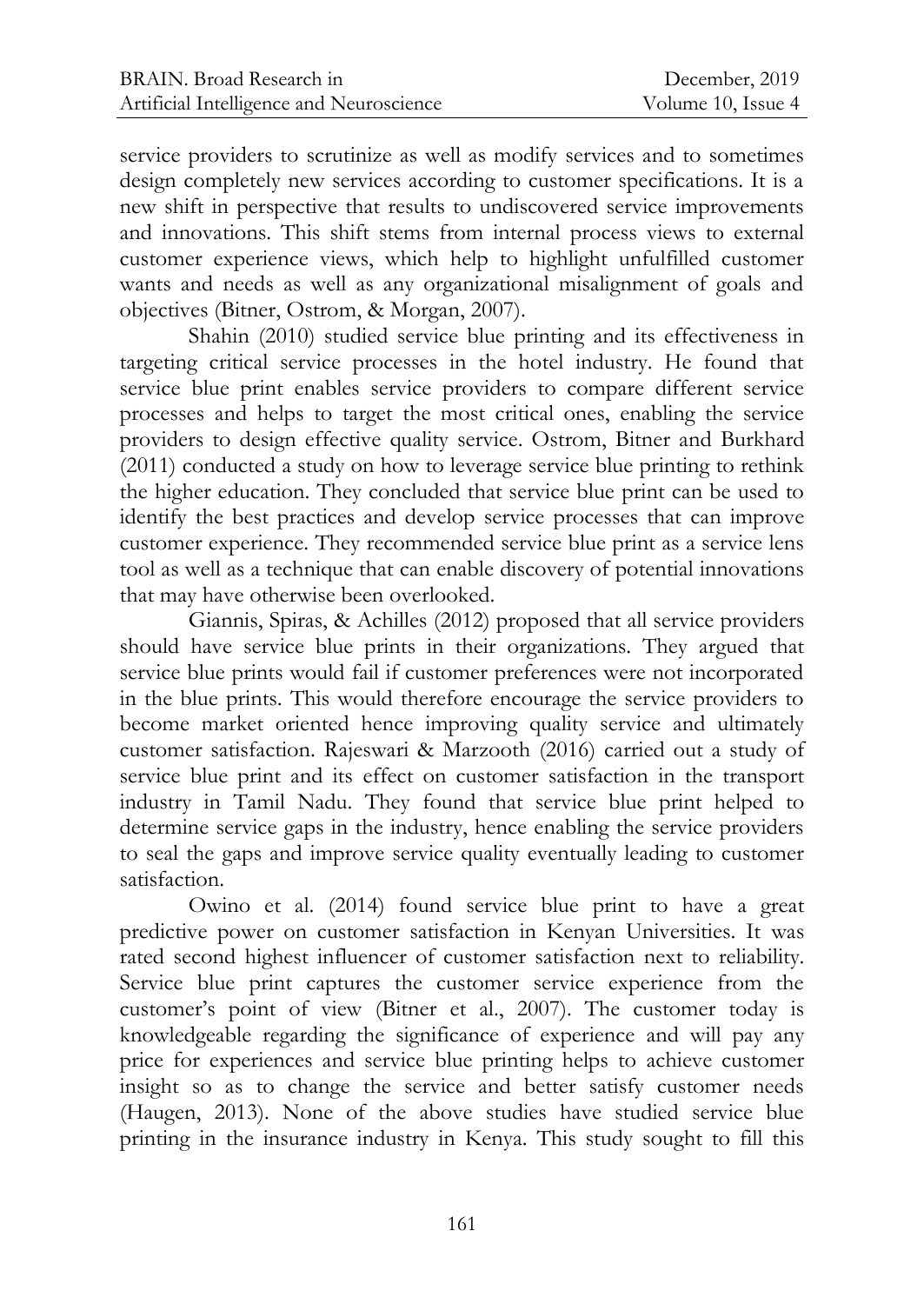service providers to scrutinize as well as modify services and to sometimes design completely new services according to customer specifications. It is a new shift in perspective that results to undiscovered service improvements and innovations. This shift stems from internal process views to external customer experience views, which help to highlight unfulfilled customer wants and needs as well as any organizational misalignment of goals and objectives (Bitner, Ostrom, & Morgan, 2007).

Shahin (2010) studied service blue printing and its effectiveness in targeting critical service processes in the hotel industry. He found that service blue print enables service providers to compare different service processes and helps to target the most critical ones, enabling the service providers to design effective quality service. Ostrom, Bitner and Burkhard (2011) conducted a study on how to leverage service blue printing to rethink the higher education. They concluded that service blue print can be used to identify the best practices and develop service processes that can improve customer experience. They recommended service blue print as a service lens tool as well as a technique that can enable discovery of potential innovations that may have otherwise been overlooked.

Giannis, Spiras, & Achilles (2012) proposed that all service providers should have service blue prints in their organizations. They argued that service blue prints would fail if customer preferences were not incorporated in the blue prints. This would therefore encourage the service providers to become market oriented hence improving quality service and ultimately customer satisfaction. Rajeswari & Marzooth (2016) carried out a study of service blue print and its effect on customer satisfaction in the transport industry in Tamil Nadu. They found that service blue print helped to determine service gaps in the industry, hence enabling the service providers to seal the gaps and improve service quality eventually leading to customer satisfaction.

Owino et al. (2014) found service blue print to have a great predictive power on customer satisfaction in Kenyan Universities. It was rated second highest influencer of customer satisfaction next to reliability. Service blue print captures the customer service experience from the customer's point of view (Bitner et al., 2007). The customer today is knowledgeable regarding the significance of experience and will pay any price for experiences and service blue printing helps to achieve customer insight so as to change the service and better satisfy customer needs (Haugen, 2013). None of the above studies have studied service blue printing in the insurance industry in Kenya. This study sought to fill this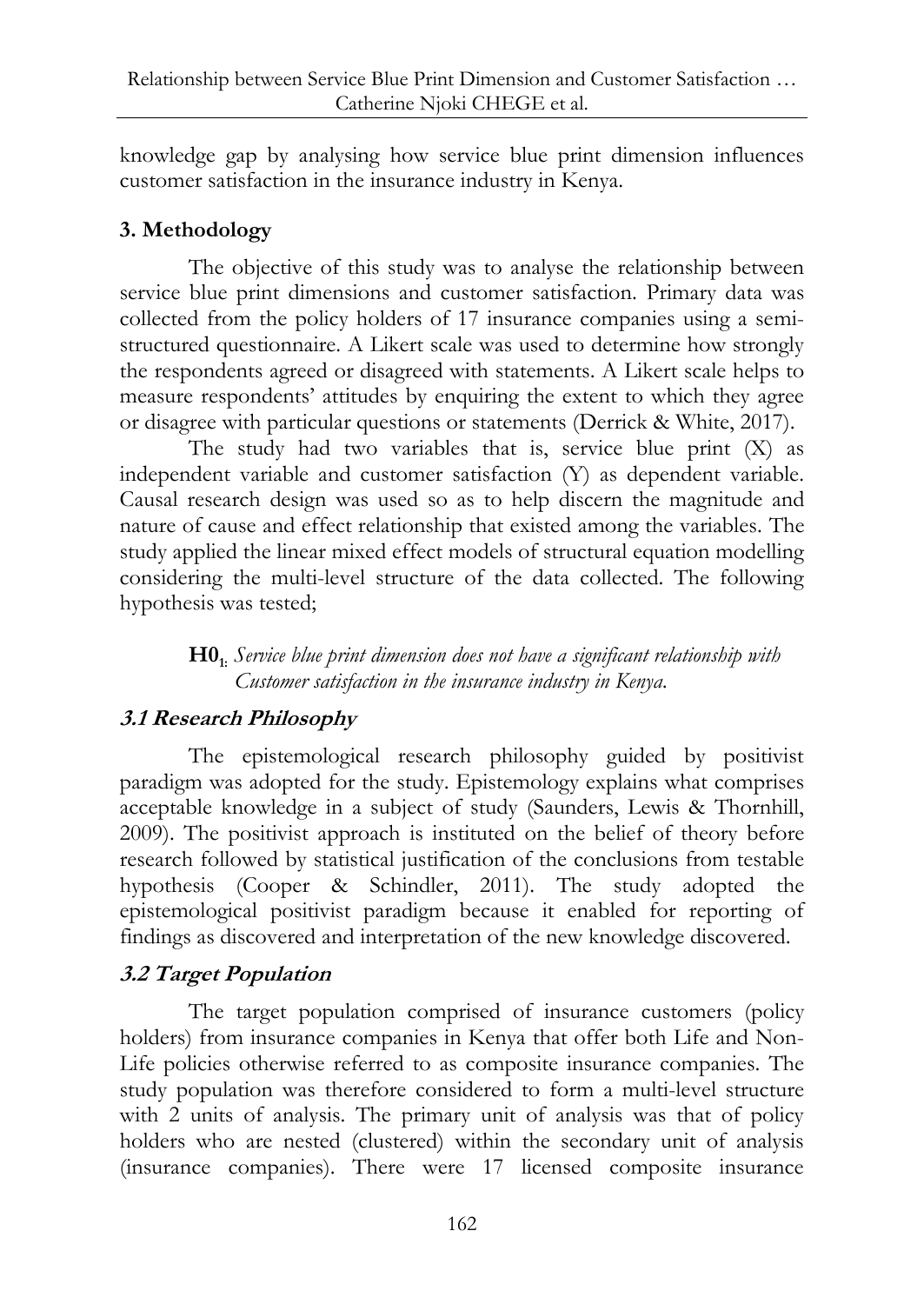knowledge gap by analysing how service blue print dimension influences customer satisfaction in the insurance industry in Kenya.

# **3. Methodology**

The objective of this study was to analyse the relationship between service blue print dimensions and customer satisfaction. Primary data was collected from the policy holders of 17 insurance companies using a semistructured questionnaire. A Likert scale was used to determine how strongly the respondents agreed or disagreed with statements. A Likert scale helps to measure respondents' attitudes by enquiring the extent to which they agree or disagree with particular questions or statements (Derrick & White, 2017).

The study had two variables that is, service blue print  $(X)$  as independent variable and customer satisfaction (Y) as dependent variable. Causal research design was used so as to help discern the magnitude and nature of cause and effect relationship that existed among the variables. The study applied the linear mixed effect models of structural equation modelling considering the multi-level structure of the data collected. The following hypothesis was tested;

> **H01:** *Service blue print dimension does not have a significant relationship with Customer satisfaction in the insurance industry in Kenya.*

# **3.1 Research Philosophy**

The epistemological research philosophy guided by positivist paradigm was adopted for the study. Epistemology explains what comprises acceptable knowledge in a subject of study (Saunders, Lewis & Thornhill, 2009). The positivist approach is instituted on the belief of theory before research followed by statistical justification of the conclusions from testable hypothesis (Cooper & Schindler, 2011). The study adopted the epistemological positivist paradigm because it enabled for reporting of findings as discovered and interpretation of the new knowledge discovered.

# **3.2 Target Population**

The target population comprised of insurance customers (policy holders) from insurance companies in Kenya that offer both Life and Non-Life policies otherwise referred to as composite insurance companies. The study population was therefore considered to form a multi-level structure with 2 units of analysis. The primary unit of analysis was that of policy holders who are nested (clustered) within the secondary unit of analysis (insurance companies). There were 17 licensed composite insurance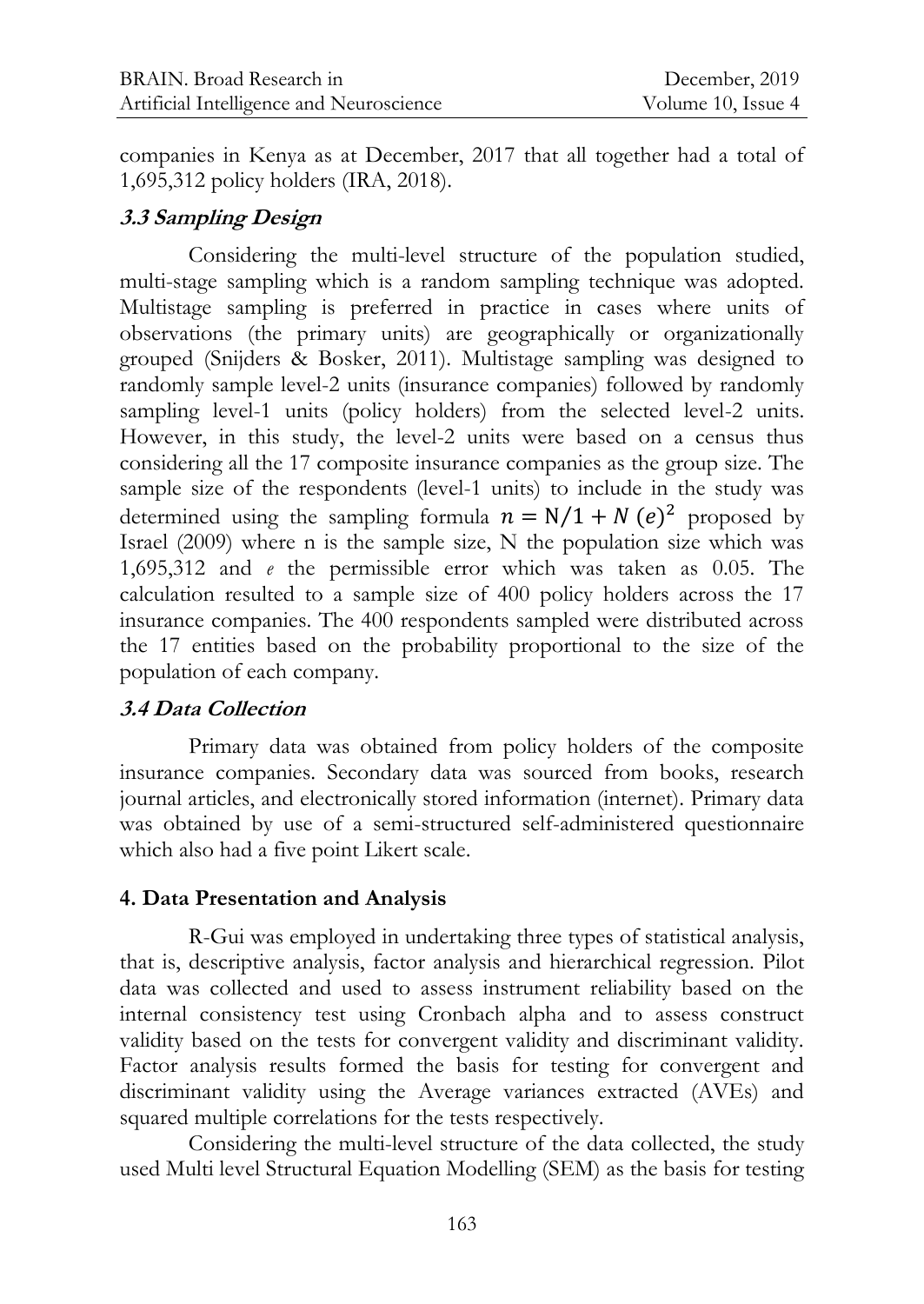companies in Kenya as at December, 2017 that all together had a total of 1,695,312 policy holders (IRA, 2018).

# **3.3 Sampling Design**

Considering the multi-level structure of the population studied, multi-stage sampling which is a random sampling technique was adopted. Multistage sampling is preferred in practice in cases where units of observations (the primary units) are geographically or organizationally grouped (Snijders & Bosker, 2011). Multistage sampling was designed to randomly sample level-2 units (insurance companies) followed by randomly sampling level-1 units (policy holders) from the selected level-2 units. However, in this study, the level-2 units were based on a census thus considering all the 17 composite insurance companies as the group size. The sample size of the respondents (level-1 units) to include in the study was determined using the sampling formula  $n = N/1 + N (e)^2$  proposed by Israel (2009) where n is the sample size, N the population size which was 1,695,312 and *e* the permissible error which was taken as 0.05. The calculation resulted to a sample size of 400 policy holders across the 17 insurance companies. The 400 respondents sampled were distributed across the 17 entities based on the probability proportional to the size of the population of each company.

## **3.4 Data Collection**

Primary data was obtained from policy holders of the composite insurance companies. Secondary data was sourced from books, research journal articles, and electronically stored information (internet). Primary data was obtained by use of a semi-structured self-administered questionnaire which also had a five point Likert scale.

## **4. Data Presentation and Analysis**

R-Gui was employed in undertaking three types of statistical analysis, that is, descriptive analysis, factor analysis and hierarchical regression. Pilot data was collected and used to assess instrument reliability based on the internal consistency test using Cronbach alpha and to assess construct validity based on the tests for convergent validity and discriminant validity. Factor analysis results formed the basis for testing for convergent and discriminant validity using the Average variances extracted (AVEs) and squared multiple correlations for the tests respectively.

Considering the multi-level structure of the data collected, the study used Multi level Structural Equation Modelling (SEM) as the basis for testing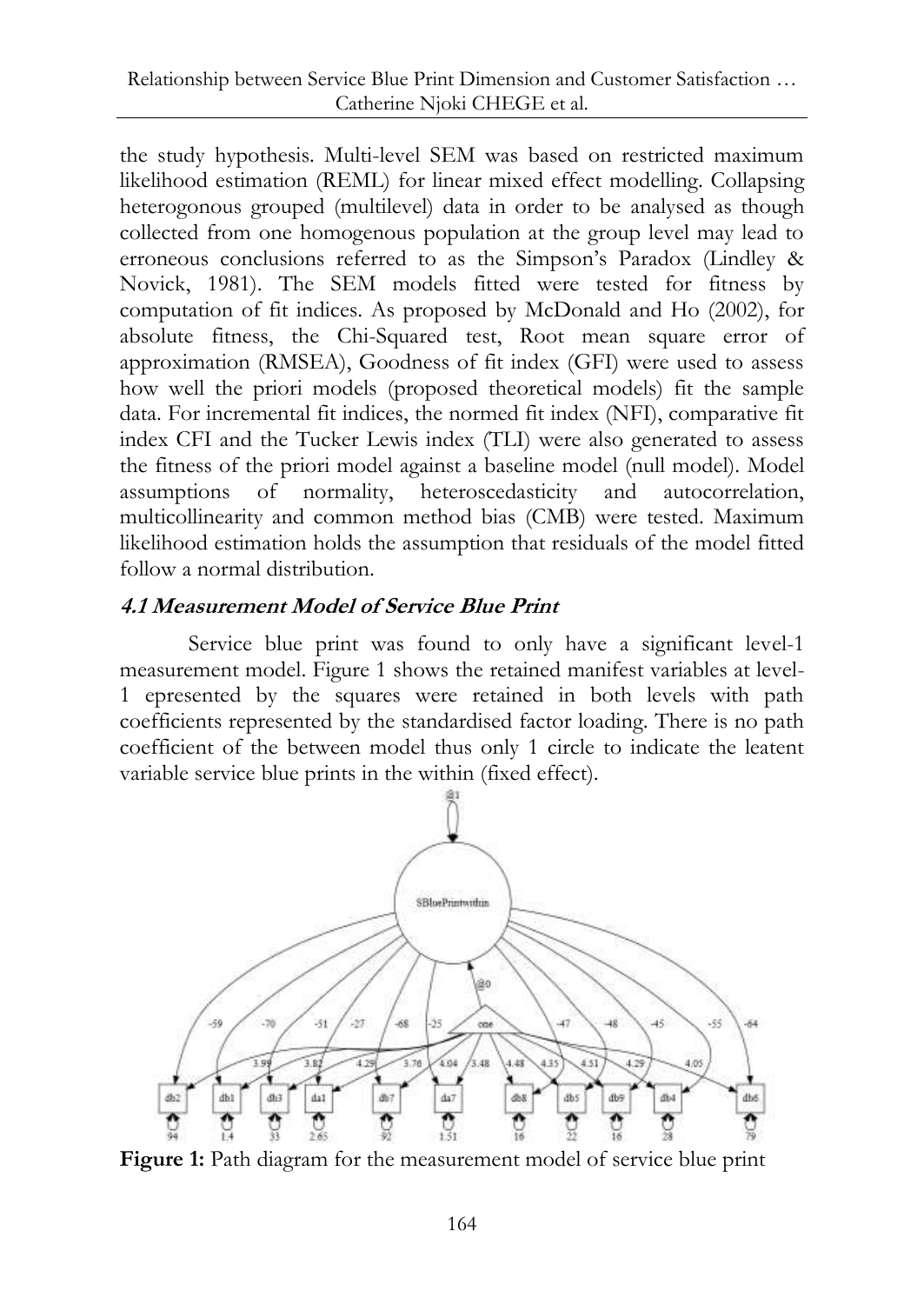the study hypothesis. Multi-level SEM was based on restricted maximum likelihood estimation (REML) for linear mixed effect modelling. Collapsing heterogonous grouped (multilevel) data in order to be analysed as though collected from one homogenous population at the group level may lead to erroneous conclusions referred to as the Simpson's Paradox (Lindley & Novick, 1981). The SEM models fitted were tested for fitness by computation of fit indices. As proposed by McDonald and Ho (2002), for absolute fitness, the Chi-Squared test, Root mean square error of approximation (RMSEA), Goodness of fit index (GFI) were used to assess how well the priori models (proposed theoretical models) fit the sample data. For incremental fit indices, the normed fit index (NFI), comparative fit index CFI and the Tucker Lewis index (TLI) were also generated to assess the fitness of the priori model against a baseline model (null model). Model assumptions of normality, heteroscedasticity and autocorrelation, multicollinearity and common method bias (CMB) were tested. Maximum likelihood estimation holds the assumption that residuals of the model fitted follow a normal distribution.

## **4.1 Measurement Model of Service Blue Print**

Service blue print was found to only have a significant level-1 measurement model. Figure 1 shows the retained manifest variables at level-1 epresented by the squares were retained in both levels with path coefficients represented by the standardised factor loading. There is no path coefficient of the between model thus only 1 circle to indicate the leatent variable service blue prints in the within (fixed effect).



Figure 1: Path diagram for the measurement model of service blue print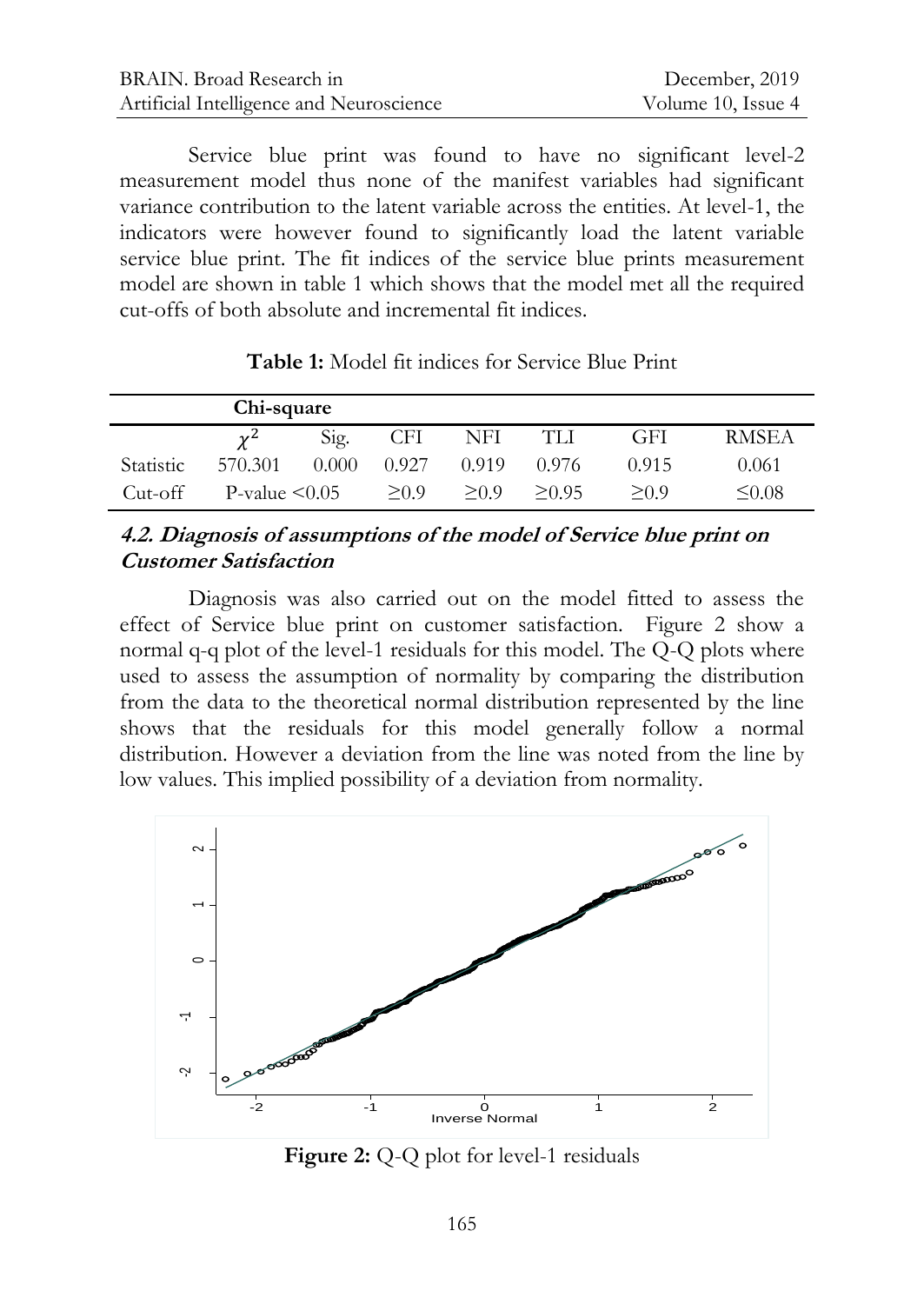Service blue print was found to have no significant level-2 measurement model thus none of the manifest variables had significant variance contribution to the latent variable across the entities. At level-1, the indicators were however found to significantly load the latent variable service blue print. The fit indices of the service blue prints measurement model are shown in table 1 which shows that the model met all the required cut-offs of both absolute and incremental fit indices.

|           | Chi-square          |       |       |       |        |       |              |
|-----------|---------------------|-------|-------|-------|--------|-------|--------------|
|           | $\gamma^2$          | Sig.  | CFI   | NFI   | TLI    | GFI   | <b>RMSEA</b> |
| Statistic | 570.301             | 0.000 | 0.927 | 0.919 | 0.976  | 0.915 | 0.061        |
| Cut-off   | P-value $\leq 0.05$ |       | > 0.9 | > 0.9 | > 0.95 | > 0.9 | $\leq 0.08$  |

**Table 1:** Model fit indices for Service Blue Print

## **4.2. Diagnosis of assumptions of the model of Service blue print on Customer Satisfaction**

Diagnosis was also carried out on the model fitted to assess the effect of Service blue print on customer satisfaction. Figure 2 show a normal q-q plot of the level-1 residuals for this model. The Q-Q plots where used to assess the assumption of normality by comparing the distribution from the data to the theoretical normal distribution represented by the line shows that the residuals for this model generally follow a normal distribution. However a deviation from the line was noted from the line by low values. This implied possibility of a deviation from normality.



**Figure 2:** Q-Q plot for level-1 residuals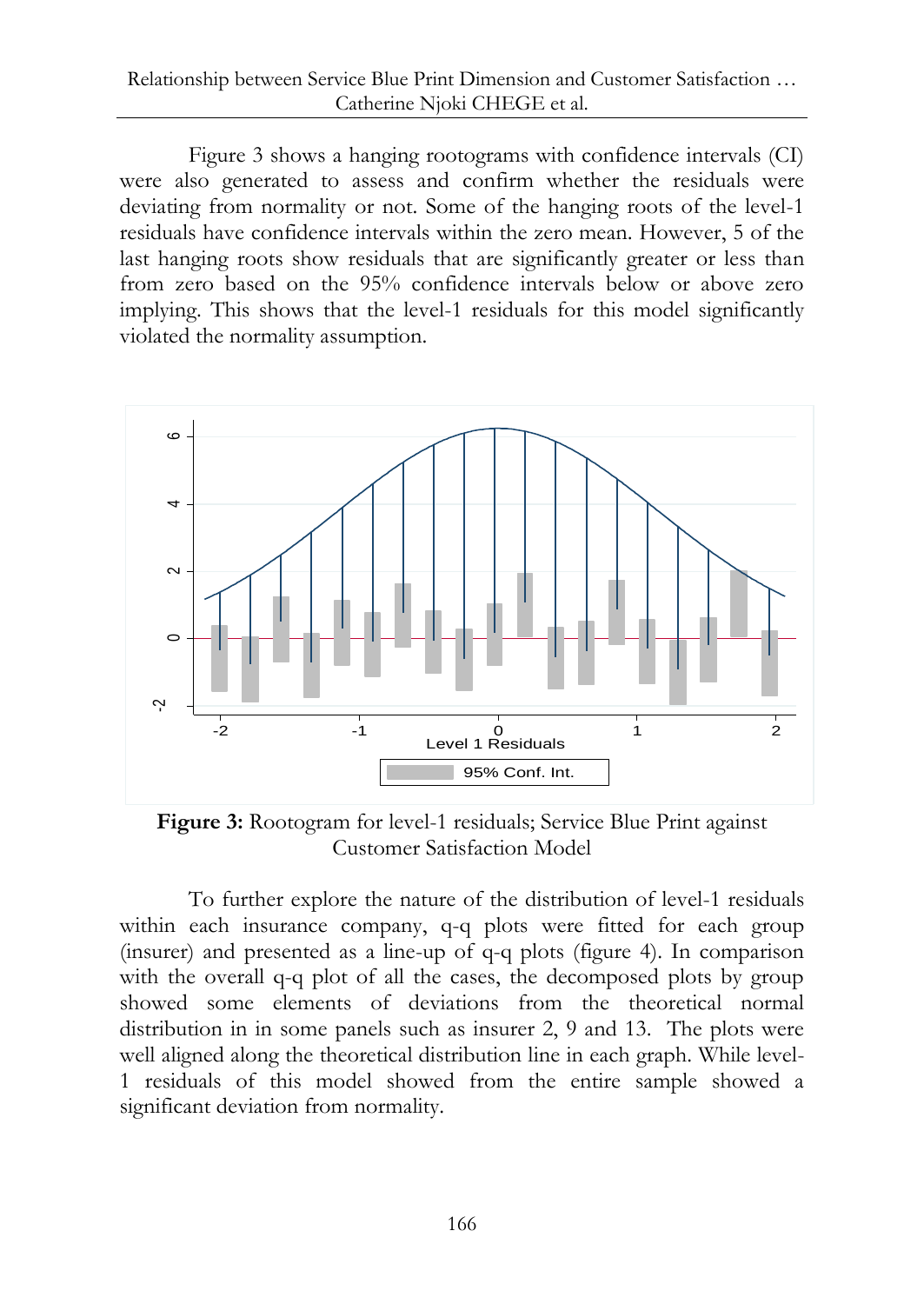Figure 3 shows a hanging rootograms with confidence intervals (CI) were also generated to assess and confirm whether the residuals were deviating from normality or not. Some of the hanging roots of the level-1 residuals have confidence intervals within the zero mean. However, 5 of the last hanging roots show residuals that are significantly greater or less than from zero based on the 95% confidence intervals below or above zero implying. This shows that the level-1 residuals for this model significantly violated the normality assumption.



**Figure 3:** Rootogram for level-1 residuals; Service Blue Print against Customer Satisfaction Model

To further explore the nature of the distribution of level-1 residuals within each insurance company, q-q plots were fitted for each group (insurer) and presented as a line-up of q-q plots (figure 4). In comparison with the overall q-q plot of all the cases, the decomposed plots by group showed some elements of deviations from the theoretical normal distribution in in some panels such as insurer 2, 9 and 13. The plots were well aligned along the theoretical distribution line in each graph. While level-1 residuals of this model showed from the entire sample showed a significant deviation from normality.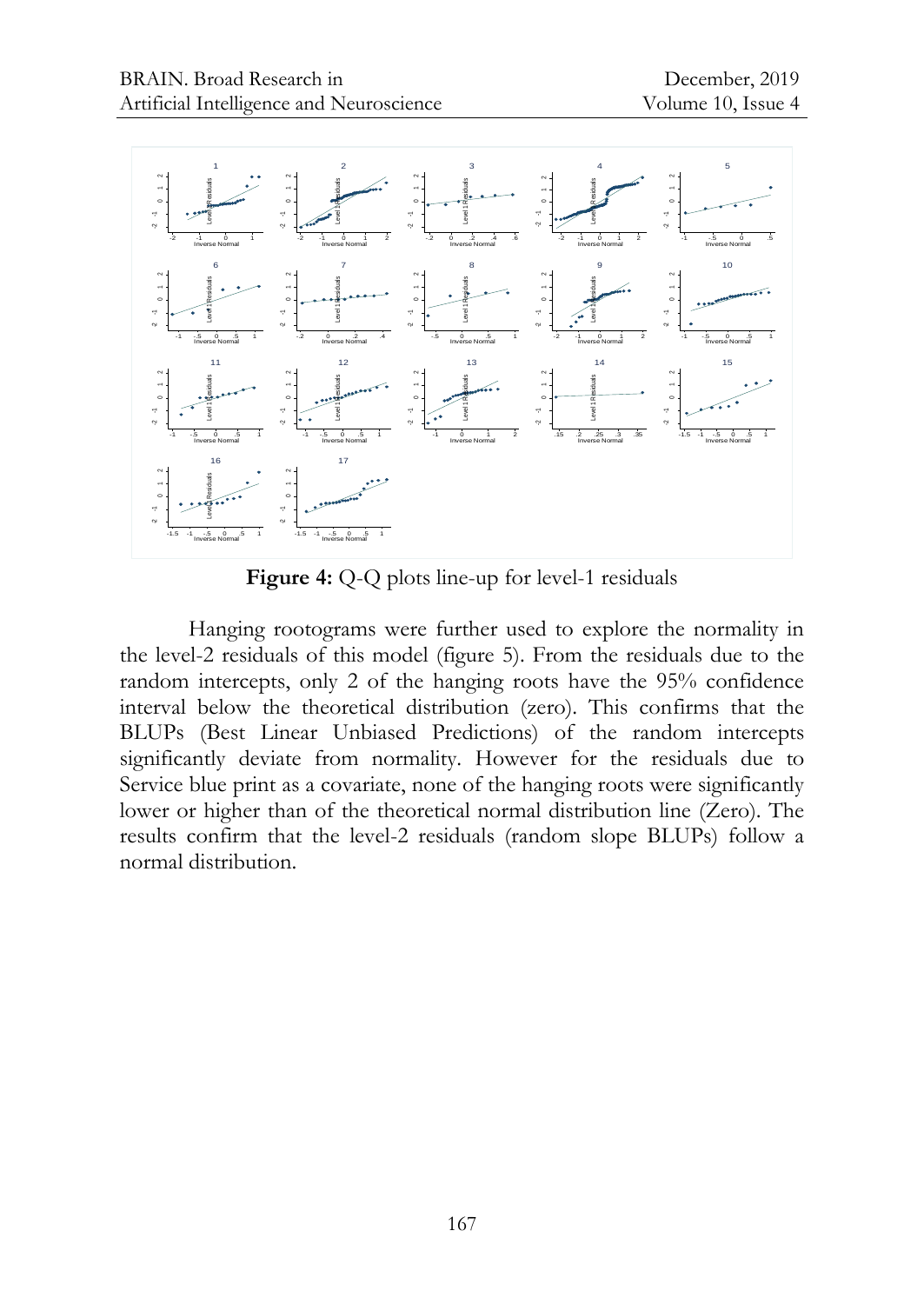

**Figure 4:** Q-Q plots line-up for level-1 residuals

Hanging rootograms were further used to explore the normality in the level-2 residuals of this model (figure 5). From the residuals due to the random intercepts, only 2 of the hanging roots have the 95% confidence interval below the theoretical distribution (zero). This confirms that the BLUPs (Best Linear Unbiased Predictions) of the random intercepts significantly deviate from normality. However for the residuals due to Service blue print as a covariate, none of the hanging roots were significantly lower or higher than of the theoretical normal distribution line (Zero). The results confirm that the level-2 residuals (random slope BLUPs) follow a normal distribution.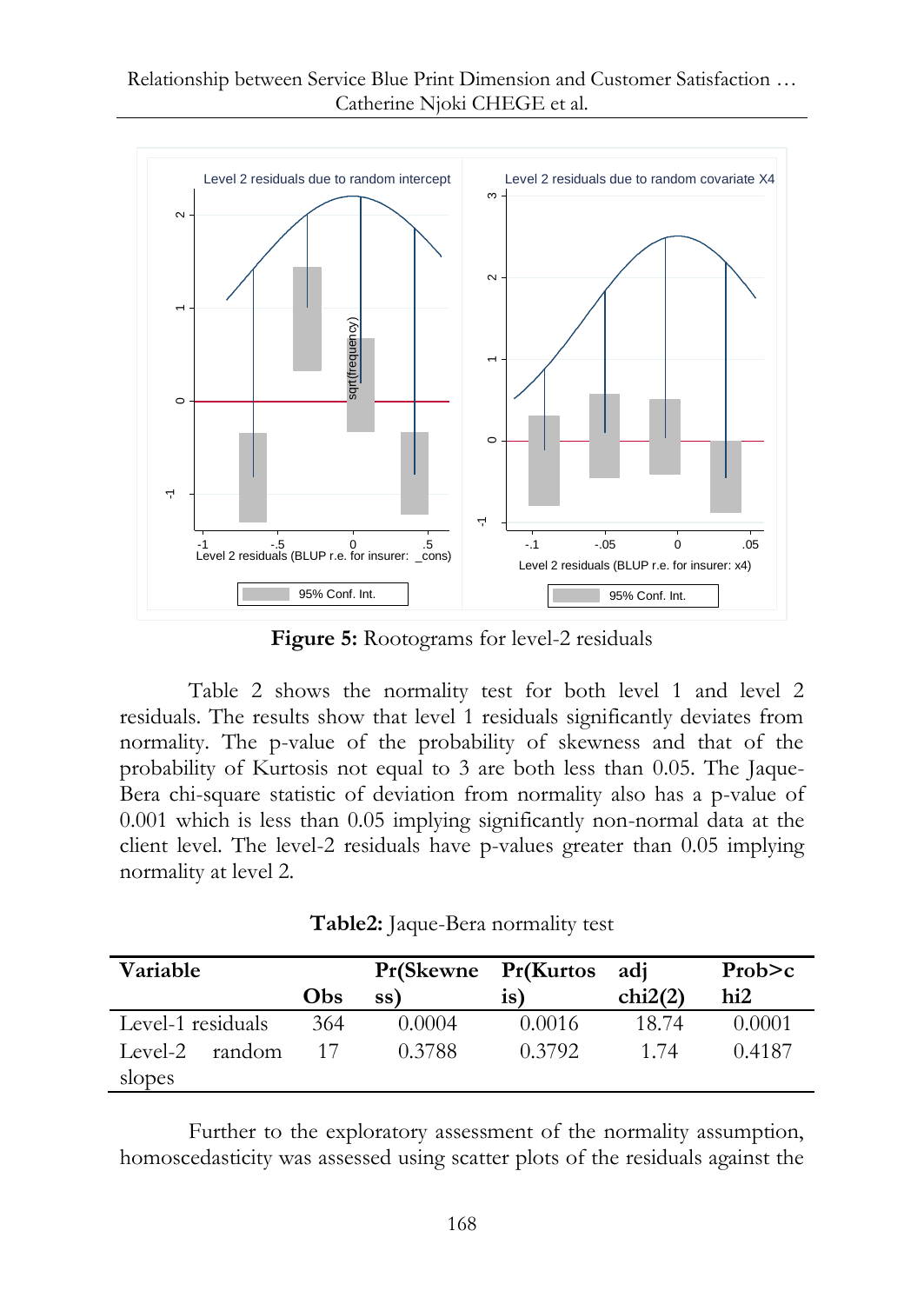#### Relationship between Service Blue Print Dimension and Customer Satisfaction … Catherine Njoki CHEGE et al.



**Figure 5:** Rootograms for level-2 residuals

Table 2 shows the normality test for both level 1 and level 2 residuals. The results show that level 1 residuals significantly deviates from normality. The p-value of the probability of skewness and that of the probability of Kurtosis not equal to 3 are both less than 0.05. The Jaque-Bera chi-square statistic of deviation from normality also has a p-value of 0.001 which is less than 0.05 implying significantly non-normal data at the client level. The level-2 residuals have p-values greater than 0.05 implying normality at level 2.

| Table2: Jaque-Bera normality test |  |
|-----------------------------------|--|
|-----------------------------------|--|

| Variable          |     | Pr(Skewne Pr(Kurtos |                 | adi     | Prob>c          |
|-------------------|-----|---------------------|-----------------|---------|-----------------|
|                   | Obs | ss)                 | $\overline{1}S$ | chi2(2) | hi <sub>2</sub> |
| Level-1 residuals | 364 | 0.0004              | 0.0016          | 18.74   | 0.0001          |
| random<br>Level-2 | 17  | 0.3788              | 0.3792          | 1 74    | 0.4187          |
| slopes            |     |                     |                 |         |                 |

Further to the exploratory assessment of the normality assumption, homoscedasticity was assessed using scatter plots of the residuals against the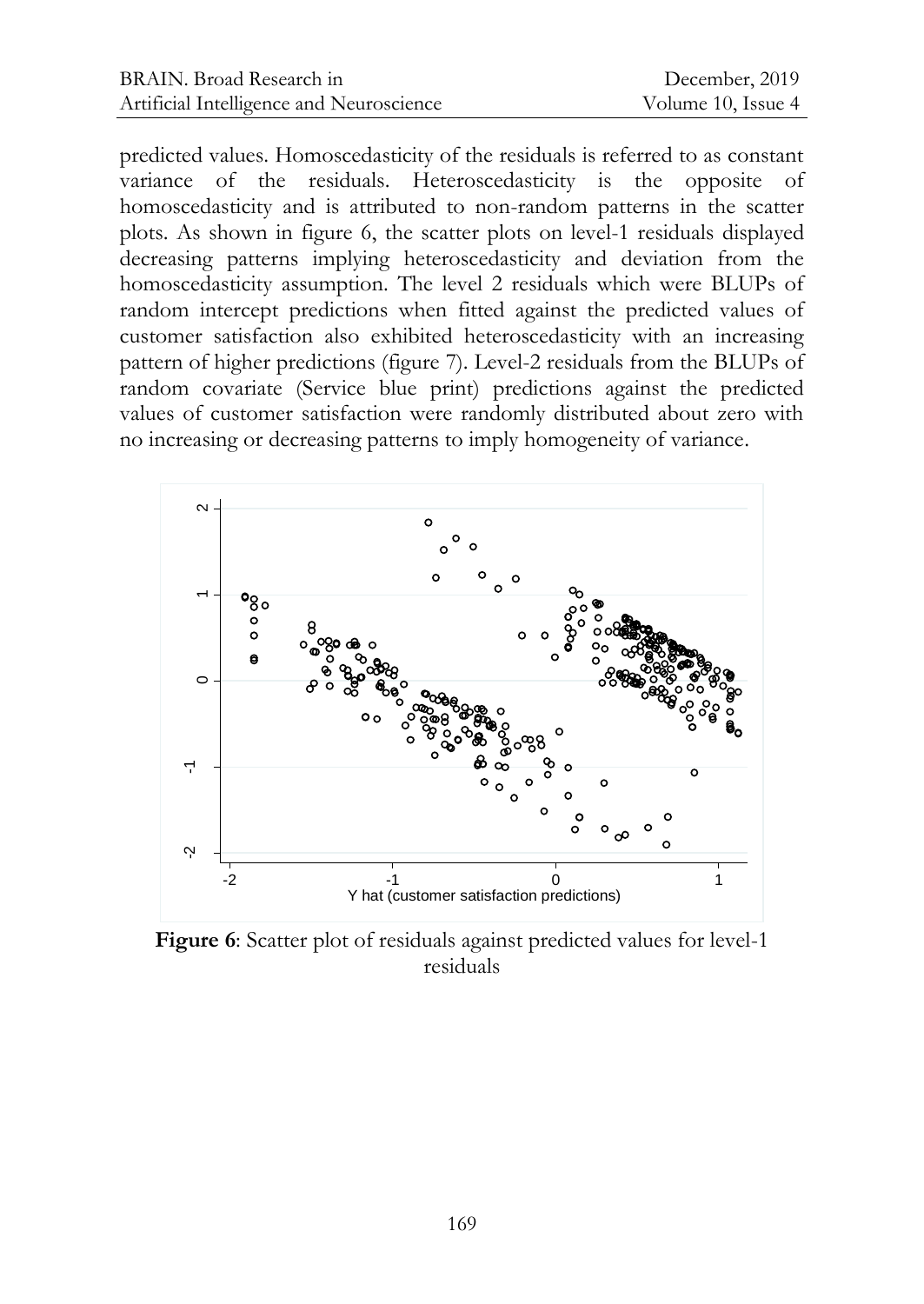predicted values. Homoscedasticity of the residuals is referred to as constant variance of the residuals. Heteroscedasticity is the opposite of homoscedasticity and is attributed to non-random patterns in the scatter plots. As shown in figure 6, the scatter plots on level-1 residuals displayed decreasing patterns implying heteroscedasticity and deviation from the homoscedasticity assumption. The level 2 residuals which were BLUPs of random intercept predictions when fitted against the predicted values of customer satisfaction also exhibited heteroscedasticity with an increasing pattern of higher predictions (figure 7). Level-2 residuals from the BLUPs of random covariate (Service blue print) predictions against the predicted values of customer satisfaction were randomly distributed about zero with no increasing or decreasing patterns to imply homogeneity of variance.

![](_page_11_Figure_3.jpeg)

**Figure 6**: Scatter plot of residuals against predicted values for level-1 residuals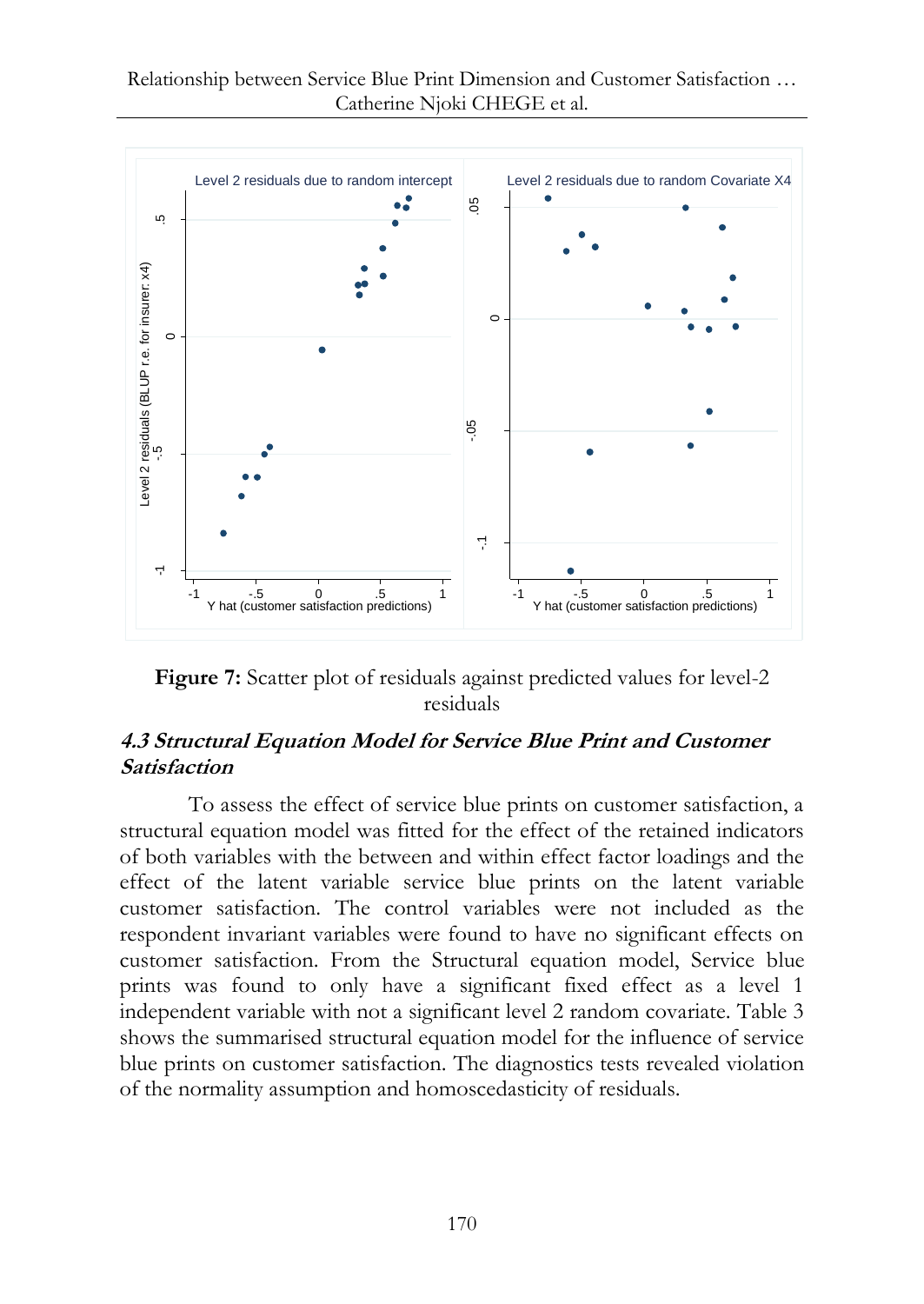![](_page_12_Figure_1.jpeg)

Figure 7: Scatter plot of residuals against predicted values for level-2 residuals

## **4.3 Structural Equation Model for Service Blue Print and Customer Satisfaction**

To assess the effect of service blue prints on customer satisfaction, a structural equation model was fitted for the effect of the retained indicators of both variables with the between and within effect factor loadings and the effect of the latent variable service blue prints on the latent variable customer satisfaction. The control variables were not included as the respondent invariant variables were found to have no significant effects on customer satisfaction. From the Structural equation model, Service blue prints was found to only have a significant fixed effect as a level 1 independent variable with not a significant level 2 random covariate. Table 3 shows the summarised structural equation model for the influence of service blue prints on customer satisfaction. The diagnostics tests revealed violation of the normality assumption and homoscedasticity of residuals.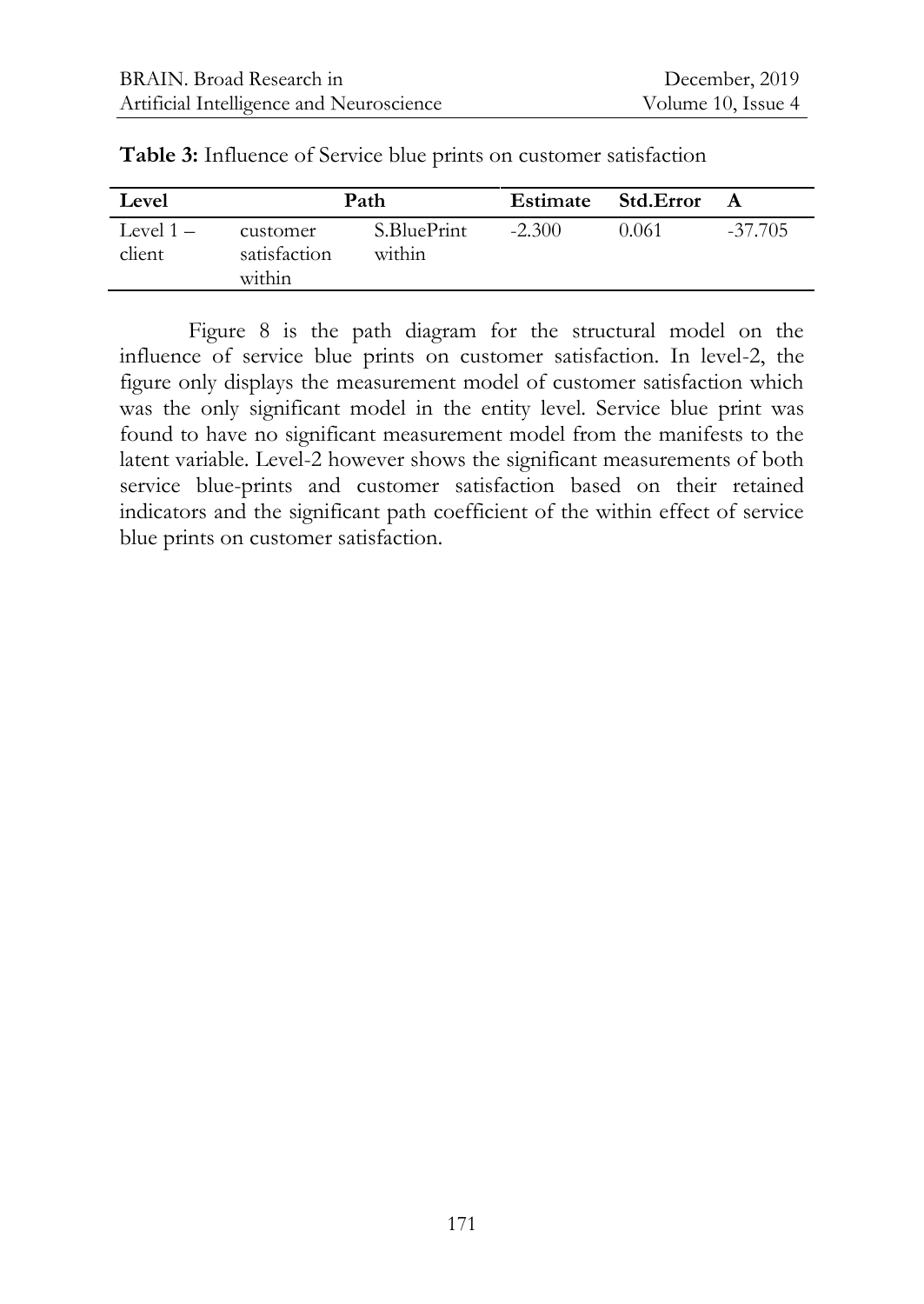| Level                 |                                    | Path                  |          | Estimate Std. Error |           |
|-----------------------|------------------------------------|-----------------------|----------|---------------------|-----------|
| Level $1 -$<br>client | customer<br>satisfaction<br>within | S.BluePrint<br>within | $-2.300$ | 0.061               | $-37.705$ |

**Table 3:** Influence of Service blue prints on customer satisfaction

Figure 8 is the path diagram for the structural model on the influence of service blue prints on customer satisfaction. In level-2, the figure only displays the measurement model of customer satisfaction which was the only significant model in the entity level. Service blue print was found to have no significant measurement model from the manifests to the latent variable. Level-2 however shows the significant measurements of both service blue-prints and customer satisfaction based on their retained indicators and the significant path coefficient of the within effect of service blue prints on customer satisfaction.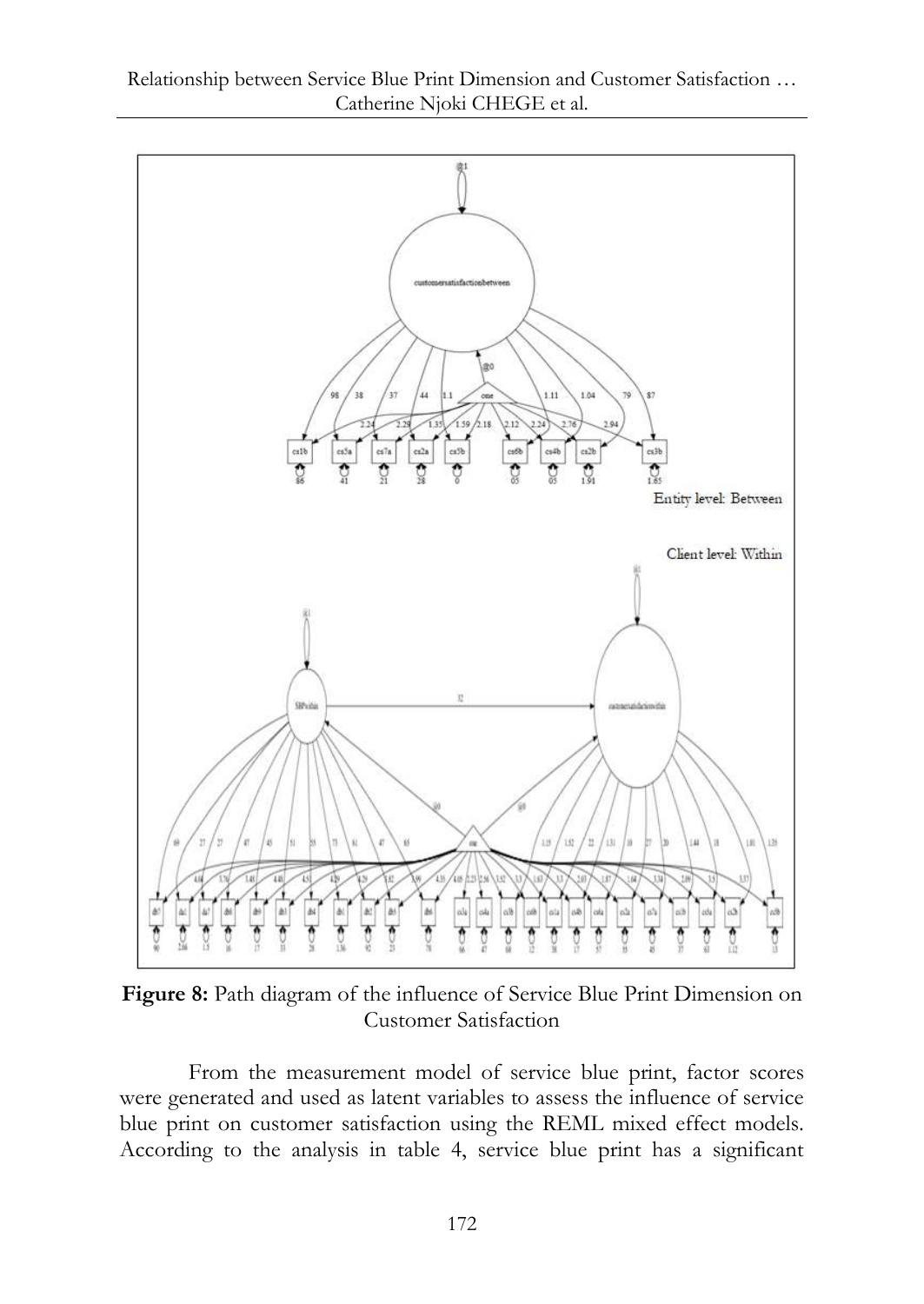![](_page_14_Figure_0.jpeg)

Figure 8: Path diagram of the influence of Service Blue Print Dimension on Customer Satisfaction

From the measurement model of service blue print, factor scores were generated and used as latent variables to assess the influence of service blue print on customer satisfaction using the REML mixed effect models. According to the analysis in table 4, service blue print has a significant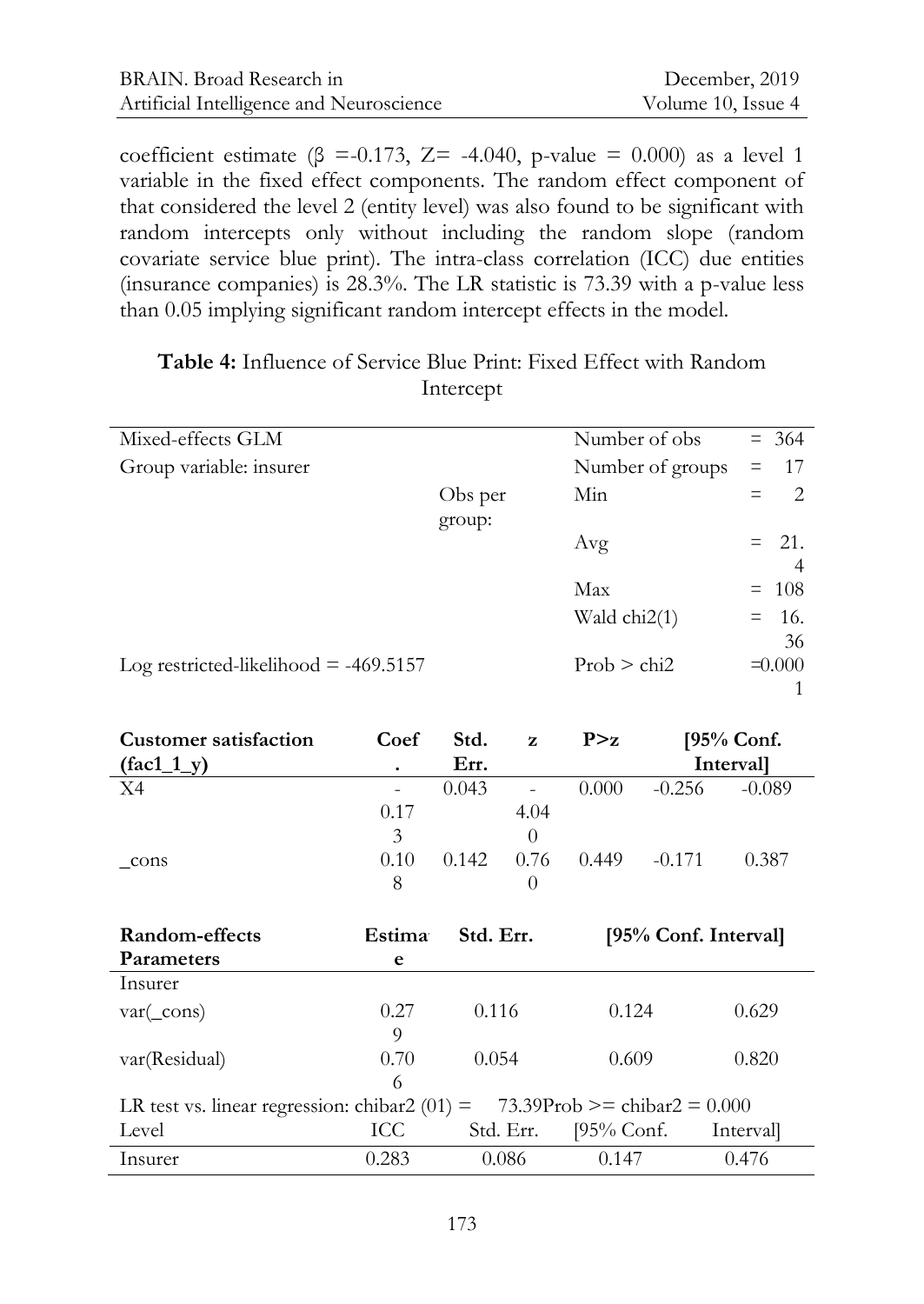| BRAIN. Broad Research in                 | December, 2019     |
|------------------------------------------|--------------------|
| Artificial Intelligence and Neuroscience | Volume 10, Issue 4 |

coefficient estimate ( $\beta$  =-0.173, Z= -4.040, p-value = 0.000) as a level 1 variable in the fixed effect components. The random effect component of that considered the level 2 (entity level) was also found to be significant with random intercepts only without including the random slope (random covariate service blue print). The intra-class correlation (ICC) due entities (insurance companies) is 28.3%. The LR statistic is 73.39 with a p-value less than 0.05 implying significant random intercept effects in the model.

| Mixed-effects GLM                       |                   | Number of obs    | $= 364$                              |
|-----------------------------------------|-------------------|------------------|--------------------------------------|
| Group variable: insurer                 |                   | Number of groups | 17<br>$\equiv$                       |
|                                         | Obs per<br>group: | Min              | $\mathfrak{D}_{\mathfrak{p}}$<br>$=$ |
|                                         |                   | Avg              | 21.<br>$=$<br>4                      |
|                                         |                   | Max              | -108<br>$=$                          |
|                                         |                   | Wald $chi2(1)$   | - 16.<br>$=$<br>36                   |
| Log restricted-likelihood $=$ -469.5157 |                   | Prob > chi2      | $\equiv 0.000$                       |
|                                         |                   |                  |                                      |

## **Table 4:** Influence of Service Blue Print: Fixed Effect with Random Intercept

| <b>Customer satisfaction</b> | Coef                     | Std.  | Z              | P > z |          | $[95%$ Conf.     |
|------------------------------|--------------------------|-------|----------------|-------|----------|------------------|
| $(fac1_1_y)$                 | ٠                        | Err.  |                |       |          | <b>Intervall</b> |
| X4                           | $\overline{\phantom{a}}$ | 0.043 | $\overline{a}$ | 0.000 | $-0.256$ | $-0.089$         |
|                              | 0.17                     |       | 4.04           |       |          |                  |
|                              | 3                        |       |                |       |          |                  |
| cons                         | 0.10                     | 0.142 | 0.76           | 0.449 | $-0.171$ | 0.387            |
|                              | 8                        |       |                |       |          |                  |

| Random-effects                                  | Estima | Std. Err. |                                | [95% Conf. Interval] |
|-------------------------------------------------|--------|-----------|--------------------------------|----------------------|
| <b>Parameters</b>                               | e      |           |                                |                      |
| Insurer                                         |        |           |                                |                      |
| $\text{var}(\_\text{cons})$                     | 0.27   | 0.116     | 0.124                          | 0.629                |
|                                                 | 9      |           |                                |                      |
| var(Residual)                                   | 0.70   | 0.054     | 0.609                          | 0.820                |
|                                                 | 6      |           |                                |                      |
| LR test vs. linear regression: chibar2 $(01)$ = |        |           | 73.39Prob >= chibar2 = $0.000$ |                      |
| Level                                           | ICC.   | Std. Err. | $[95%$ Conf.                   | Interval             |
| Insurer                                         | 0.283  | 0.086     | 0.147                          | 0.476                |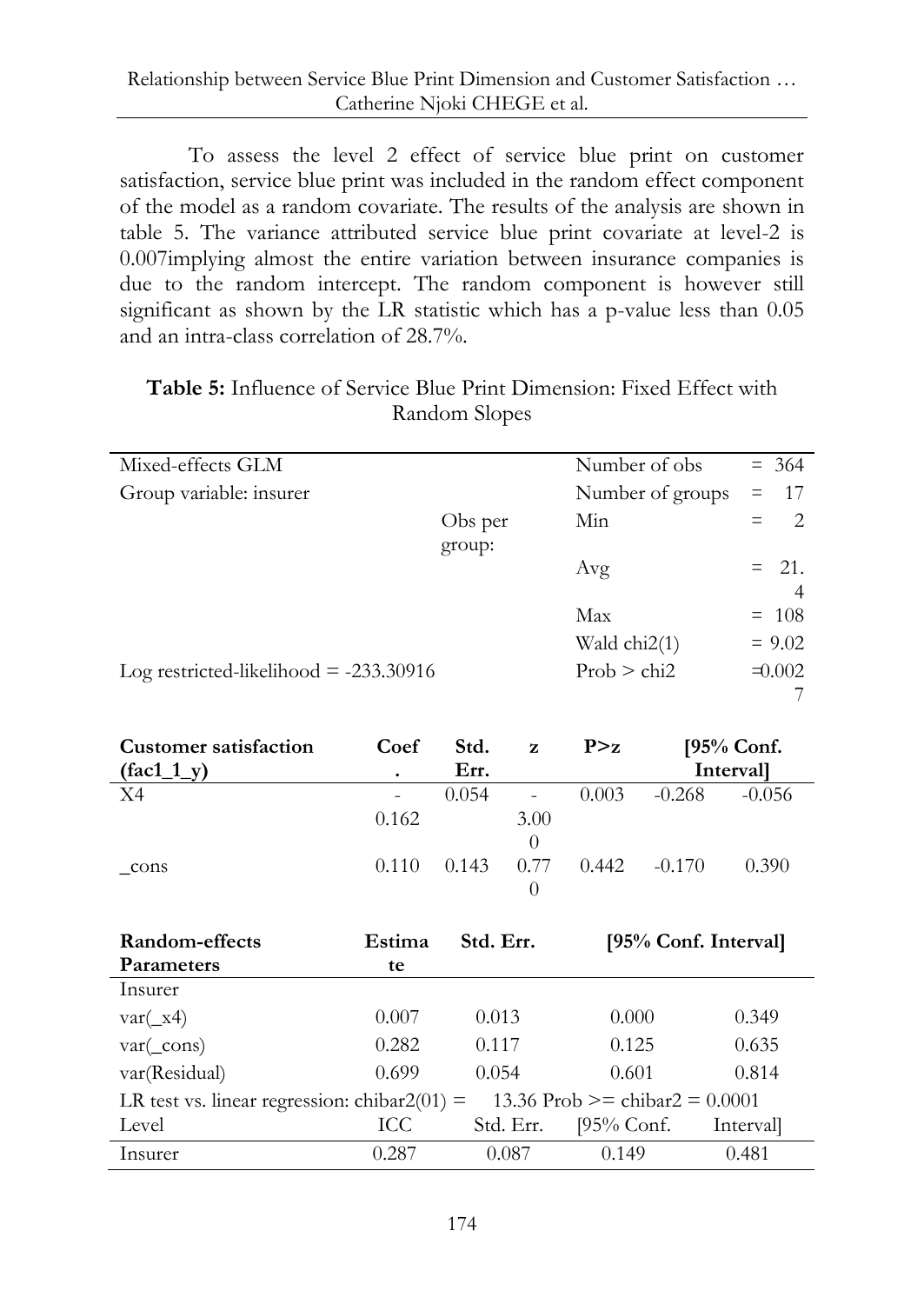To assess the level 2 effect of service blue print on customer satisfaction, service blue print was included in the random effect component of the model as a random covariate. The results of the analysis are shown in table 5. The variance attributed service blue print covariate at level-2 is 0.007implying almost the entire variation between insurance companies is due to the random intercept. The random component is however still significant as shown by the LR statistic which has a p-value less than 0.05 and an intra-class correlation of 28.7%.

| <b>Table 5:</b> Influence of Service Blue Print Dimension: Fixed Effect with |
|------------------------------------------------------------------------------|
| Random Slopes                                                                |

| Mixed-effects GLM                        |         | Number of obs.   | $= 364$              |
|------------------------------------------|---------|------------------|----------------------|
| Group variable: insurer                  |         | Number of groups | 17<br>$=$            |
|                                          | Obs per | Min.             | $\mathcal{L}$<br>$=$ |
|                                          | group:  |                  |                      |
|                                          |         | Avg              | $= 21.$              |
|                                          |         |                  | $\overline{4}$       |
|                                          |         | Max              | $= 108$              |
|                                          |         | Wald chi2(1)     | $= 9.02$             |
| Log restricted-likelihood $= -233.30916$ |         | Prob > chi2      | $\pm 0.002$          |
|                                          |         |                  |                      |
|                                          |         |                  |                      |

| <b>Customer satisfaction</b> | Coef              | Std.  | $\mathbf{z}$             | P > z |          | $[95%$ Conf.     |
|------------------------------|-------------------|-------|--------------------------|-------|----------|------------------|
| $(fac1_1_y)$                 | ٠                 | Err.  |                          |       |          | <b>Intervall</b> |
| X4                           | $\qquad \qquad -$ | 0.054 | $\overline{\phantom{a}}$ | 0.003 | $-0.268$ | $-0.056$         |
|                              | 0.162             |       | 3.00                     |       |          |                  |
|                              |                   |       | $\left( \right)$         |       |          |                  |
| cons                         | 0.110             | 0.143 | 0.77                     | 0.442 | $-0.170$ | 0.390            |
|                              |                   |       |                          |       |          |                  |

| Random-effects                                  | Estima | Std. Err. | [95% Conf. Interval]             |           |
|-------------------------------------------------|--------|-----------|----------------------------------|-----------|
| <b>Parameters</b>                               | te     |           |                                  |           |
| Insurer                                         |        |           |                                  |           |
| $\text{var}(\_\text{x4})$                       | 0.007  | 0.013     | 0.000                            | 0.349     |
| $\text{var}(\_\text{cons})$                     | 0.282  | 0.117     | 0.125                            | 0.635     |
| var(Residual)                                   | 0.699  | 0.054     | 0.601                            | 0.814     |
| LR test vs. linear regression: chibar $2(01)$ = |        |           | 13.36 Prob >= chibar2 = $0.0001$ |           |
| Level                                           | ICC    | Std. Err. | [95% Conf.                       | Intervall |
| Insurer                                         | 0.287  | 0.087     | 0.149                            | 0.481     |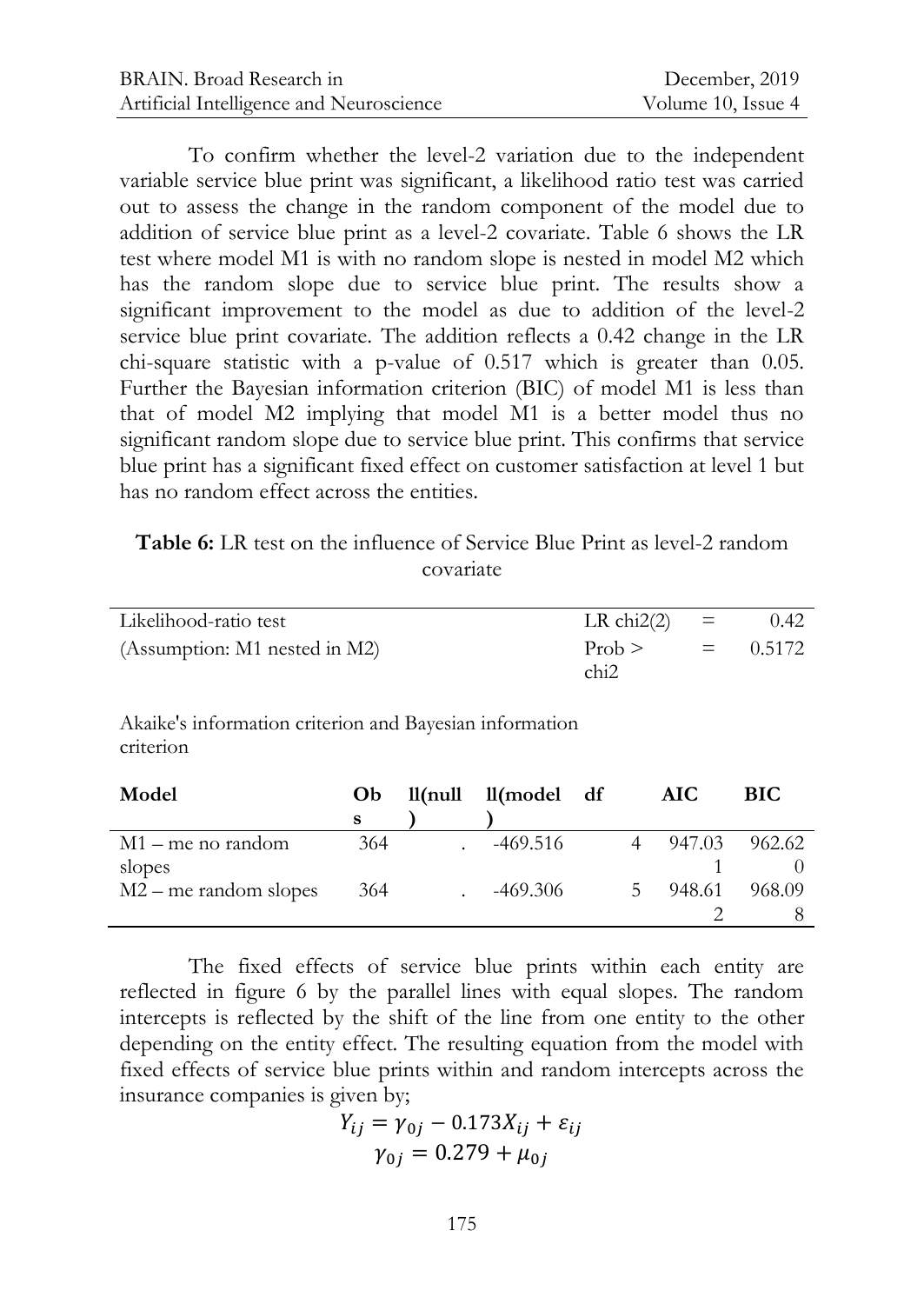To confirm whether the level-2 variation due to the independent variable service blue print was significant, a likelihood ratio test was carried out to assess the change in the random component of the model due to addition of service blue print as a level-2 covariate. Table 6 shows the LR test where model M1 is with no random slope is nested in model M2 which has the random slope due to service blue print. The results show a significant improvement to the model as due to addition of the level-2 service blue print covariate. The addition reflects a 0.42 change in the LR chi-square statistic with a p-value of 0.517 which is greater than 0.05. Further the Bayesian information criterion (BIC) of model M1 is less than that of model M2 implying that model M1 is a better model thus no significant random slope due to service blue print. This confirms that service blue print has a significant fixed effect on customer satisfaction at level 1 but has no random effect across the entities.

#### **Table 6:** LR test on the influence of Service Blue Print as level-2 random covariate

| Likelihood-ratio test         | LR chi2(2) $=$   | 0.42       |
|-------------------------------|------------------|------------|
| (Assumption: M1 nested in M2) | $Prob$ ><br>chi2 | $= 0.5172$ |

Akaike's information criterion and Bayesian information criterion

| <b>BIC</b> |
|------------|
|            |
| 962.62     |
|            |
| 968.09     |
|            |
|            |

The fixed effects of service blue prints within each entity are reflected in figure 6 by the parallel lines with equal slopes. The random intercepts is reflected by the shift of the line from one entity to the other depending on the entity effect. The resulting equation from the model with fixed effects of service blue prints within and random intercepts across the insurance companies is given by;

$$
Y_{ij} = \gamma_{0j} - 0.173X_{ij} + \varepsilon_{ij}
$$
  

$$
\gamma_{0j} = 0.279 + \mu_{0j}
$$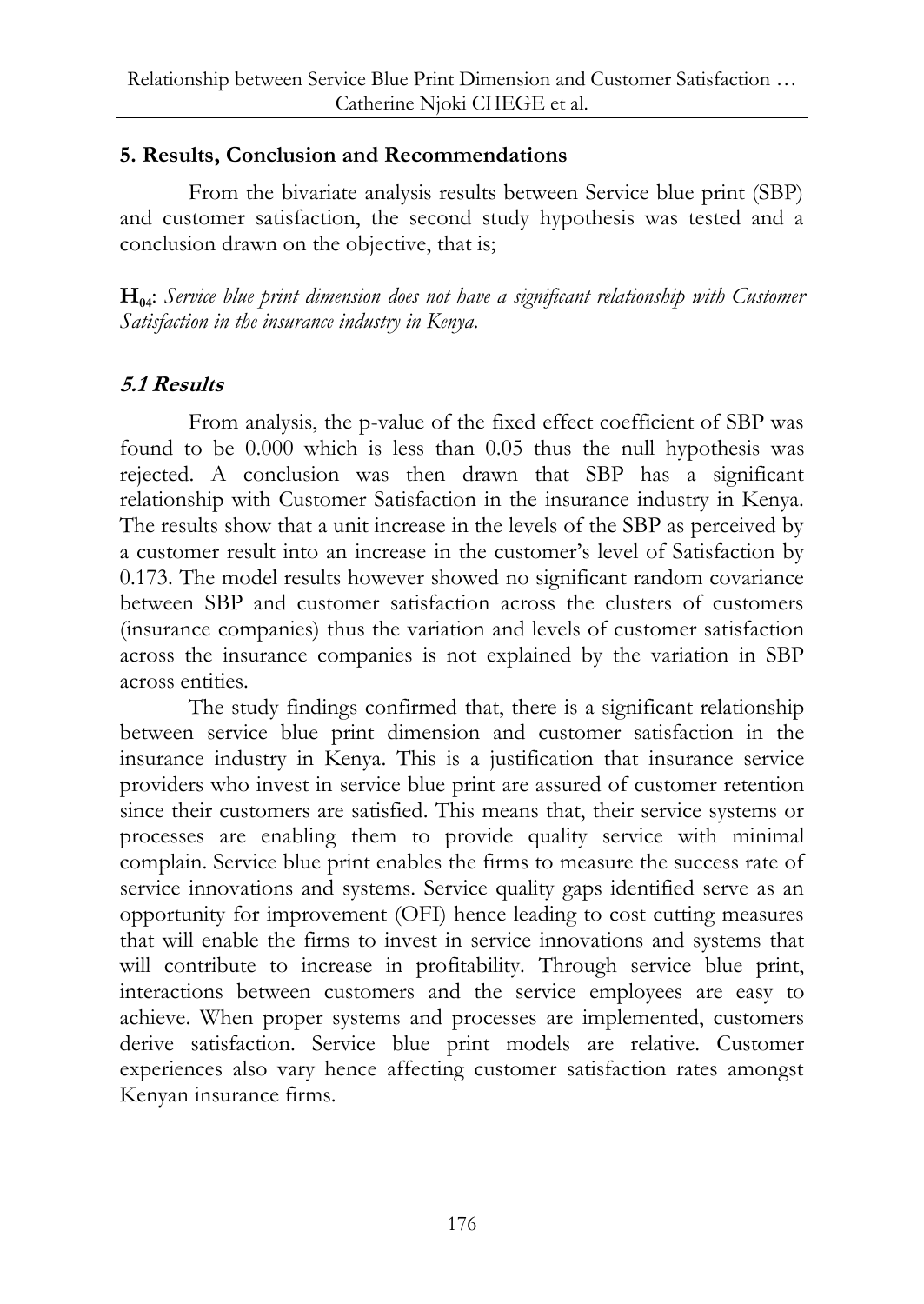### **5. Results, Conclusion and Recommendations**

From the bivariate analysis results between Service blue print (SBP) and customer satisfaction, the second study hypothesis was tested and a conclusion drawn on the objective, that is;

**H04**: *Service blue print dimension does not have a significant relationship with Customer Satisfaction in the insurance industry in Kenya.*

## **5.1 Results**

From analysis, the p-value of the fixed effect coefficient of SBP was found to be 0.000 which is less than 0.05 thus the null hypothesis was rejected. A conclusion was then drawn that SBP has a significant relationship with Customer Satisfaction in the insurance industry in Kenya. The results show that a unit increase in the levels of the SBP as perceived by a customer result into an increase in the customer's level of Satisfaction by 0.173. The model results however showed no significant random covariance between SBP and customer satisfaction across the clusters of customers (insurance companies) thus the variation and levels of customer satisfaction across the insurance companies is not explained by the variation in SBP across entities.

The study findings confirmed that, there is a significant relationship between service blue print dimension and customer satisfaction in the insurance industry in Kenya. This is a justification that insurance service providers who invest in service blue print are assured of customer retention since their customers are satisfied. This means that, their service systems or processes are enabling them to provide quality service with minimal complain. Service blue print enables the firms to measure the success rate of service innovations and systems. Service quality gaps identified serve as an opportunity for improvement (OFI) hence leading to cost cutting measures that will enable the firms to invest in service innovations and systems that will contribute to increase in profitability. Through service blue print, interactions between customers and the service employees are easy to achieve. When proper systems and processes are implemented, customers derive satisfaction. Service blue print models are relative. Customer experiences also vary hence affecting customer satisfaction rates amongst Kenyan insurance firms.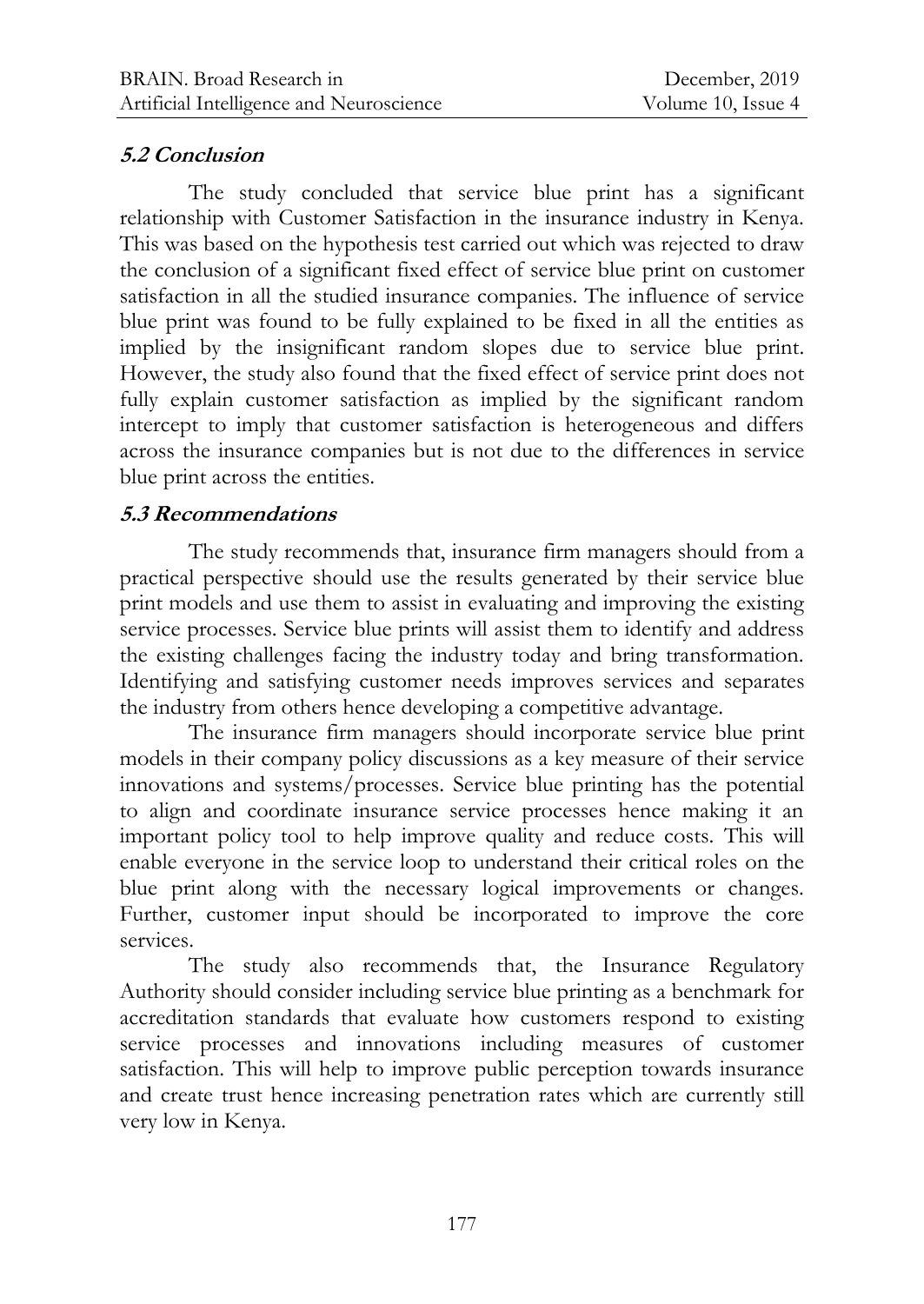### **5.2 Conclusion**

The study concluded that service blue print has a significant relationship with Customer Satisfaction in the insurance industry in Kenya. This was based on the hypothesis test carried out which was rejected to draw the conclusion of a significant fixed effect of service blue print on customer satisfaction in all the studied insurance companies. The influence of service blue print was found to be fully explained to be fixed in all the entities as implied by the insignificant random slopes due to service blue print. However, the study also found that the fixed effect of service print does not fully explain customer satisfaction as implied by the significant random intercept to imply that customer satisfaction is heterogeneous and differs across the insurance companies but is not due to the differences in service blue print across the entities.

### **5.3 Recommendations**

The study recommends that, insurance firm managers should from a practical perspective should use the results generated by their service blue print models and use them to assist in evaluating and improving the existing service processes. Service blue prints will assist them to identify and address the existing challenges facing the industry today and bring transformation. Identifying and satisfying customer needs improves services and separates the industry from others hence developing a competitive advantage.

The insurance firm managers should incorporate service blue print models in their company policy discussions as a key measure of their service innovations and systems/processes. Service blue printing has the potential to align and coordinate insurance service processes hence making it an important policy tool to help improve quality and reduce costs. This will enable everyone in the service loop to understand their critical roles on the blue print along with the necessary logical improvements or changes. Further, customer input should be incorporated to improve the core services.

The study also recommends that, the Insurance Regulatory Authority should consider including service blue printing as a benchmark for accreditation standards that evaluate how customers respond to existing service processes and innovations including measures of customer satisfaction. This will help to improve public perception towards insurance and create trust hence increasing penetration rates which are currently still very low in Kenya.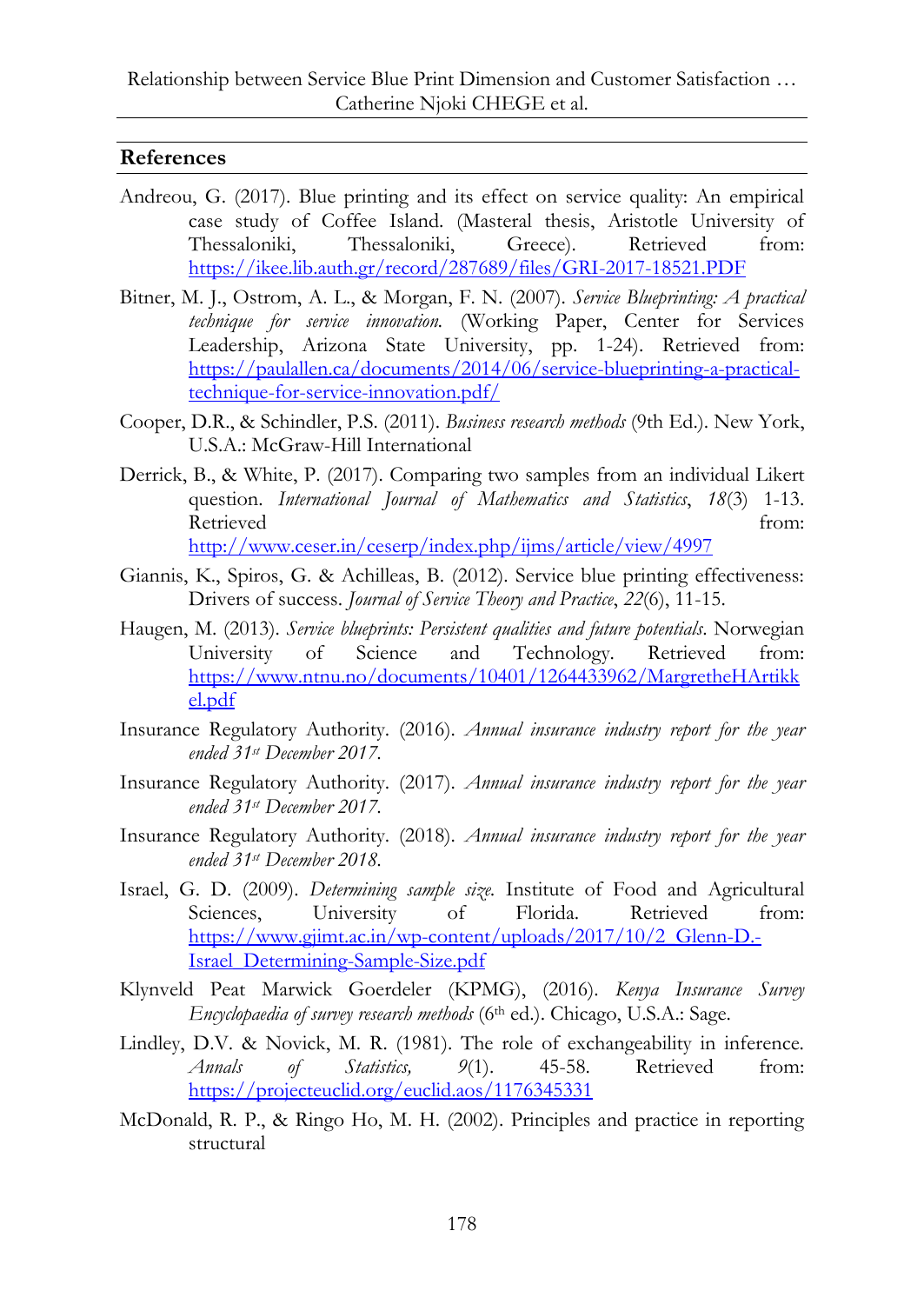#### **References**

- Andreou, G. (2017). Blue printing and its effect on service quality: An empirical case study of Coffee Island. (Masteral thesis, Aristotle University of Thessaloniki, Thessaloniki, Greece). Retrieved from: <https://ikee.lib.auth.gr/record/287689/files/GRI-2017-18521.PDF>
- Bitner, M. J., Ostrom, A. L., & Morgan, F. N. (2007). *Service Blueprinting: A practical technique for service innovation.* (Working Paper, Center for Services Leadership, Arizona State University, pp. 1-24). Retrieved from: [https://paulallen.ca/documents/2014/06/service-blueprinting-a-practical](https://paulallen.ca/documents/2014/06/service-blueprinting-a-practical-technique-for-service-innovation.pdf/)[technique-for-service-innovation.pdf/](https://paulallen.ca/documents/2014/06/service-blueprinting-a-practical-technique-for-service-innovation.pdf/)
- Cooper, D.R., & Schindler, P.S. (2011). *Business research methods* (9th Ed.). New York, U.S.A.: McGraw-Hill International
- Derrick, B., & White, P. (2017). Comparing two samples from an individual Likert question. *International Journal of Mathematics and Statistics*, *18*(3) 1-13. Retrieved from: <http://www.ceser.in/ceserp/index.php/ijms/article/view/4997>

Giannis, K., Spiros, G. & Achilleas, B. (2012). Service blue printing effectiveness: Drivers of success. *Journal of Service Theory and Practice*, *22*(6), 11-15.

- Haugen, M. (2013). *Service blueprints: Persistent qualities and future potentials*. Norwegian University of Science and Technology. Retrieved from: [https://www.ntnu.no/documents/10401/1264433962/MargretheHArtikk](https://www.ntnu.no/documents/10401/1264433962/MargretheHArtikkel.pdf) [el.pdf](https://www.ntnu.no/documents/10401/1264433962/MargretheHArtikkel.pdf)
- Insurance Regulatory Authority. (2016). *Annual insurance industry report for the year ended 31st December 2017.*
- Insurance Regulatory Authority. (2017). *Annual insurance industry report for the year ended 31st December 2017.*
- Insurance Regulatory Authority. (2018). *Annual insurance industry report for the year ended 31st December 2018.*
- Israel, G. D. (2009). *Determining sample size.* Institute of Food and Agricultural Sciences, University of Florida. Retrieved from: [https://www.gjimt.ac.in/wp-content/uploads/2017/10/2\\_Glenn-D.-](https://www.gjimt.ac.in/wp-content/uploads/2017/10/2_Glenn-D.-Israel_Determining-Sample-Size.pdf) [Israel\\_Determining-Sample-Size.pdf](https://www.gjimt.ac.in/wp-content/uploads/2017/10/2_Glenn-D.-Israel_Determining-Sample-Size.pdf)
- Klynveld Peat Marwick Goerdeler (KPMG), (2016). *Kenya Insurance Survey Encyclopaedia* of survey research methods (6<sup>th</sup> ed.). Chicago, U.S.A.: Sage.
- Lindley, D.V. & Novick, M. R. (1981). The role of exchangeability in inference. *Annals of Statistics, 9*(1). 45-58. Retrieved from: <https://projecteuclid.org/euclid.aos/1176345331>
- McDonald, R. P., & Ringo Ho, M. H. (2002). Principles and practice in reporting structural